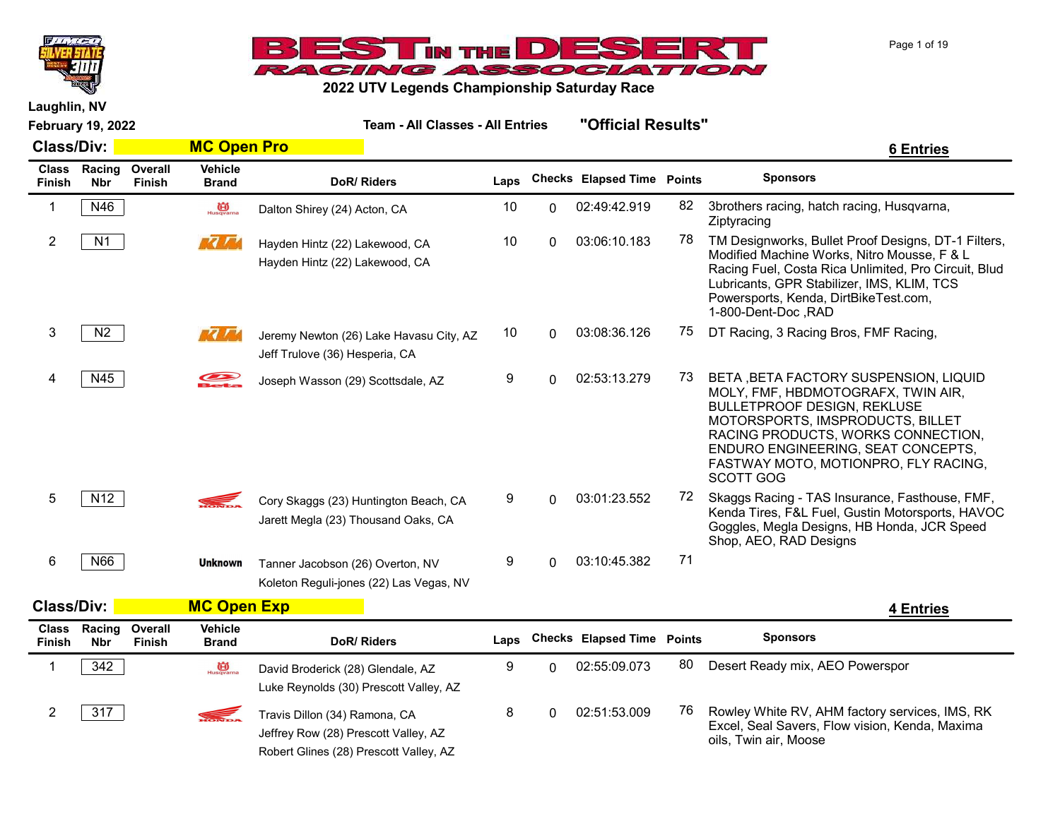



Page 1 of 19

Laughlin, NV

| <b>Class/Div:</b> | MC Open Pro |
|-------------------|-------------|
|                   |             |

| <b>Class</b><br><b>Finish</b> | Racing<br><b>Nbr</b> | Overall<br><b>Finish</b> | Vehicle<br><b>Brand</b>         | DoR/Riders                                                                                                      | Laps |          | <b>Checks Elapsed Time Points</b> |    | <b>Sponsors</b>                                                                                                                                                                                                                                                                                |
|-------------------------------|----------------------|--------------------------|---------------------------------|-----------------------------------------------------------------------------------------------------------------|------|----------|-----------------------------------|----|------------------------------------------------------------------------------------------------------------------------------------------------------------------------------------------------------------------------------------------------------------------------------------------------|
| $\mathbf 1$                   | N46                  |                          | $\overrightarrow{CD}$ Husqvarna | Dalton Shirey (24) Acton, CA                                                                                    | 10   | 0        | 02:49:42.919                      | 82 | 3brothers racing, hatch racing, Husqvarna,<br>Ziptyracing                                                                                                                                                                                                                                      |
| $\overline{2}$                | N1                   |                          | <b>MOTO</b>                     | Hayden Hintz (22) Lakewood, CA<br>Hayden Hintz (22) Lakewood, CA                                                | 10   | 0        | 03:06:10.183                      | 78 | TM Designworks, Bullet Proof Designs, DT-1 Filters,<br>Modified Machine Works, Nitro Mousse, F & L<br>Racing Fuel, Costa Rica Unlimited, Pro Circuit, Blud<br>Lubricants, GPR Stabilizer, IMS, KLIM, TCS<br>Powersports, Kenda, DirtBikeTest.com,<br>1-800-Dent-Doc, RAD                       |
| 3                             | N2                   |                          | <b>REAL AND</b>                 | Jeremy Newton (26) Lake Havasu City, AZ<br>Jeff Trulove (36) Hesperia, CA                                       | 10   | 0        | 03:08:36.126                      | 75 | DT Racing, 3 Racing Bros, FMF Racing,                                                                                                                                                                                                                                                          |
| 4                             | N45                  |                          |                                 | Joseph Wasson (29) Scottsdale, AZ                                                                               | 9    | 0        | 02:53:13.279                      | 73 | BETA , BETA FACTORY SUSPENSION, LIQUID<br>MOLY, FMF, HBDMOTOGRAFX, TWIN AIR,<br><b>BULLETPROOF DESIGN, REKLUSE</b><br>MOTORSPORTS, IMSPRODUCTS, BILLET<br>RACING PRODUCTS, WORKS CONNECTION,<br>ENDURO ENGINEERING, SEAT CONCEPTS,<br>FASTWAY MOTO, MOTIONPRO, FLY RACING,<br><b>SCOTT GOG</b> |
| 5                             | N <sub>12</sub>      |                          | S.                              | Cory Skaggs (23) Huntington Beach, CA<br>Jarett Megla (23) Thousand Oaks, CA                                    | 9    | $\Omega$ | 03:01:23.552                      | 72 | Skaggs Racing - TAS Insurance, Fasthouse, FMF,<br>Kenda Tires, F&L Fuel, Gustin Motorsports, HAVOC<br>Goggles, Megla Designs, HB Honda, JCR Speed<br>Shop, AEO, RAD Designs                                                                                                                    |
| 6                             | N66                  |                          | <b>Unknown</b>                  | Tanner Jacobson (26) Overton, NV<br>Koleton Reguli-jones (22) Las Vegas, NV                                     | 9    | 0        | 03:10:45.382                      | 71 |                                                                                                                                                                                                                                                                                                |
| <b>Class/Div:</b>             |                      |                          | <b>MC Open Exp</b>              |                                                                                                                 |      |          |                                   |    | <b>4 Entries</b>                                                                                                                                                                                                                                                                               |
| <b>Class</b><br>Finish        | Racing<br><b>Nbr</b> | Overall<br>Finish        | Vehicle<br><b>Brand</b>         | DoR/Riders                                                                                                      | Laps |          | <b>Checks Elapsed Time Points</b> |    | <b>Sponsors</b>                                                                                                                                                                                                                                                                                |
| $\mathbf 1$                   | 342                  |                          | Husqvarna                       | David Broderick (28) Glendale, AZ<br>Luke Reynolds (30) Prescott Valley, AZ                                     | 9    | 0        | 02:55:09.073                      | 80 | Desert Ready mix, AEO Powerspor                                                                                                                                                                                                                                                                |
| $\overline{2}$                | 317                  |                          |                                 | Travis Dillon (34) Ramona, CA<br>Jeffrey Row (28) Prescott Valley, AZ<br>Robert Glines (28) Prescott Valley, AZ | 8    | 0        | 02:51:53.009                      | 76 | Rowley White RV, AHM factory services, IMS, RK<br>Excel, Seal Savers, Flow vision, Kenda, Maxima<br>oils, Twin air, Moose                                                                                                                                                                      |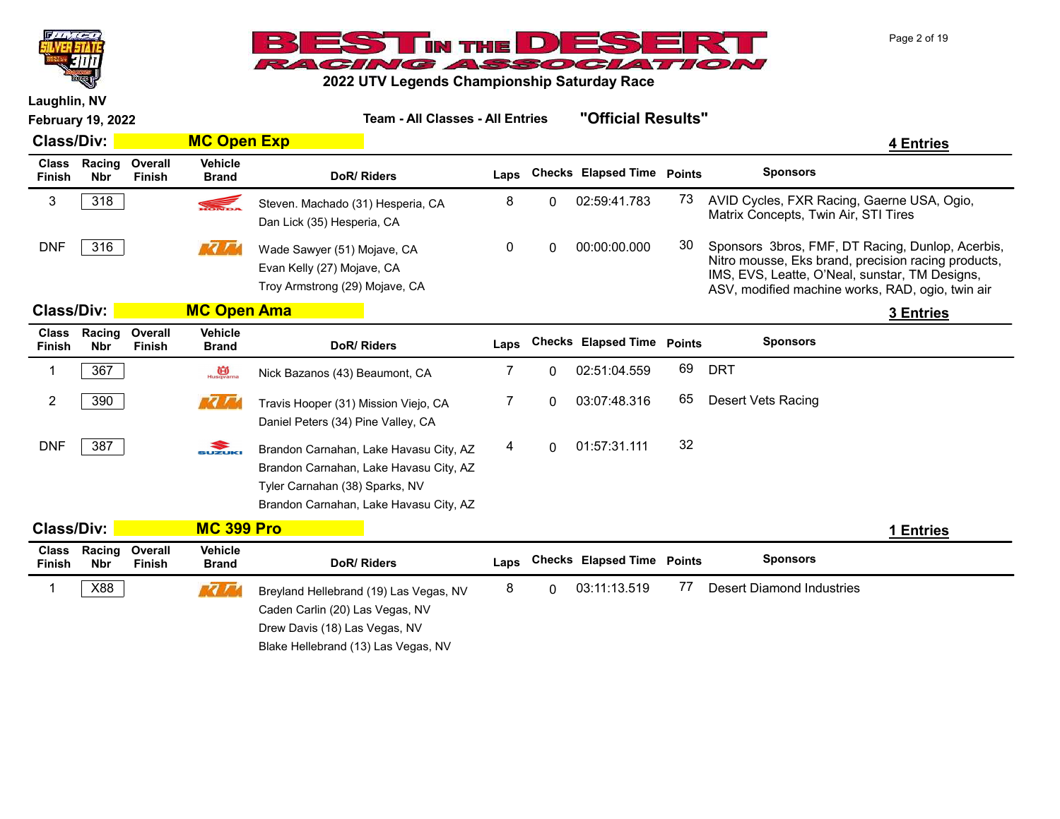



|                               | <b>February 19, 2022</b> |                          |                                | <b>Team - All Classes - All Entries</b>                                                                                                                      |      |              | "Official Results"         |               |                                                                                                                                                                                                               |           |
|-------------------------------|--------------------------|--------------------------|--------------------------------|--------------------------------------------------------------------------------------------------------------------------------------------------------------|------|--------------|----------------------------|---------------|---------------------------------------------------------------------------------------------------------------------------------------------------------------------------------------------------------------|-----------|
| <b>Class/Div:</b>             |                          |                          | <b>MC Open Exp</b>             |                                                                                                                                                              |      |              |                            |               |                                                                                                                                                                                                               | 4 Entries |
| <b>Class</b><br><b>Finish</b> | Racing<br><b>Nbr</b>     | Overall<br><b>Finish</b> | <b>Vehicle</b><br><b>Brand</b> | DoR/Riders                                                                                                                                                   | Laps |              | <b>Checks</b> Elapsed Time | <b>Points</b> | <b>Sponsors</b>                                                                                                                                                                                               |           |
| 3                             | 318                      |                          | S.                             | Steven. Machado (31) Hesperia, CA<br>Dan Lick (35) Hesperia, CA                                                                                              | 8    | 0            | 02:59:41.783               | 73            | AVID Cycles, FXR Racing, Gaerne USA, Ogio,<br>Matrix Concepts, Twin Air, STI Tires                                                                                                                            |           |
| <b>DNF</b>                    | 316                      |                          | <b>1354</b>                    | Wade Sawyer (51) Mojave, CA<br>Evan Kelly (27) Mojave, CA<br>Troy Armstrong (29) Mojave, CA                                                                  | 0    | 0            | 00:00:00.000               | 30            | Sponsors 3bros, FMF, DT Racing, Dunlop, Acerbis,<br>Nitro mousse, Eks brand, precision racing products,<br>IMS, EVS, Leatte, O'Neal, sunstar, TM Designs,<br>ASV, modified machine works, RAD, ogio, twin air |           |
| <b>Class/Div:</b>             |                          |                          | <b>MC Open Ama</b>             |                                                                                                                                                              |      |              |                            |               |                                                                                                                                                                                                               | 3 Entries |
| <b>Class</b><br><b>Finish</b> | Racing<br><b>Nbr</b>     | Overall<br><b>Finish</b> | <b>Vehicle</b><br><b>Brand</b> | DoR/Riders                                                                                                                                                   | Laps |              | <b>Checks Elapsed Time</b> | <b>Points</b> | <b>Sponsors</b>                                                                                                                                                                                               |           |
| 1                             | 367                      |                          | Husqvarna                      | Nick Bazanos (43) Beaumont, CA                                                                                                                               | 7    | 0            | 02:51:04.559               | 69            | <b>DRT</b>                                                                                                                                                                                                    |           |
| $\overline{2}$                | 390                      |                          | <b>MA MA</b>                   | Travis Hooper (31) Mission Viejo, CA<br>Daniel Peters (34) Pine Valley, CA                                                                                   | 7    | $\Omega$     | 03:07:48.316               | 65            | Desert Vets Racing                                                                                                                                                                                            |           |
| <b>DNF</b>                    | 387                      |                          | $\sum_{\text{SUXUKI}}$         | Brandon Carnahan, Lake Havasu City, AZ<br>Brandon Carnahan, Lake Havasu City, AZ<br>Tyler Carnahan (38) Sparks, NV<br>Brandon Carnahan, Lake Havasu City, AZ | 4    | $\mathbf{0}$ | 01:57:31.111               | 32            |                                                                                                                                                                                                               |           |
| <b>Class/Div:</b>             |                          |                          | <b>MC 399 Pro</b>              |                                                                                                                                                              |      |              |                            |               |                                                                                                                                                                                                               | 1 Entries |
| <b>Class</b><br><b>Finish</b> | Racing<br><b>Nbr</b>     | Overall<br>Finish        | <b>Vehicle</b><br><b>Brand</b> | DoR/Riders                                                                                                                                                   | Laps |              | <b>Checks Elapsed Time</b> | <b>Points</b> | <b>Sponsors</b>                                                                                                                                                                                               |           |
| 1                             | X88                      |                          | <b>MOVE</b>                    | Breyland Hellebrand (19) Las Vegas, NV<br>Caden Carlin (20) Las Vegas, NV<br>Drew Davis (18) Las Vegas, NV<br>Blake Hellebrand (13) Las Vegas, NV            | 8    | 0            | 03:11:13.519               | 77            | <b>Desert Diamond Industries</b>                                                                                                                                                                              |           |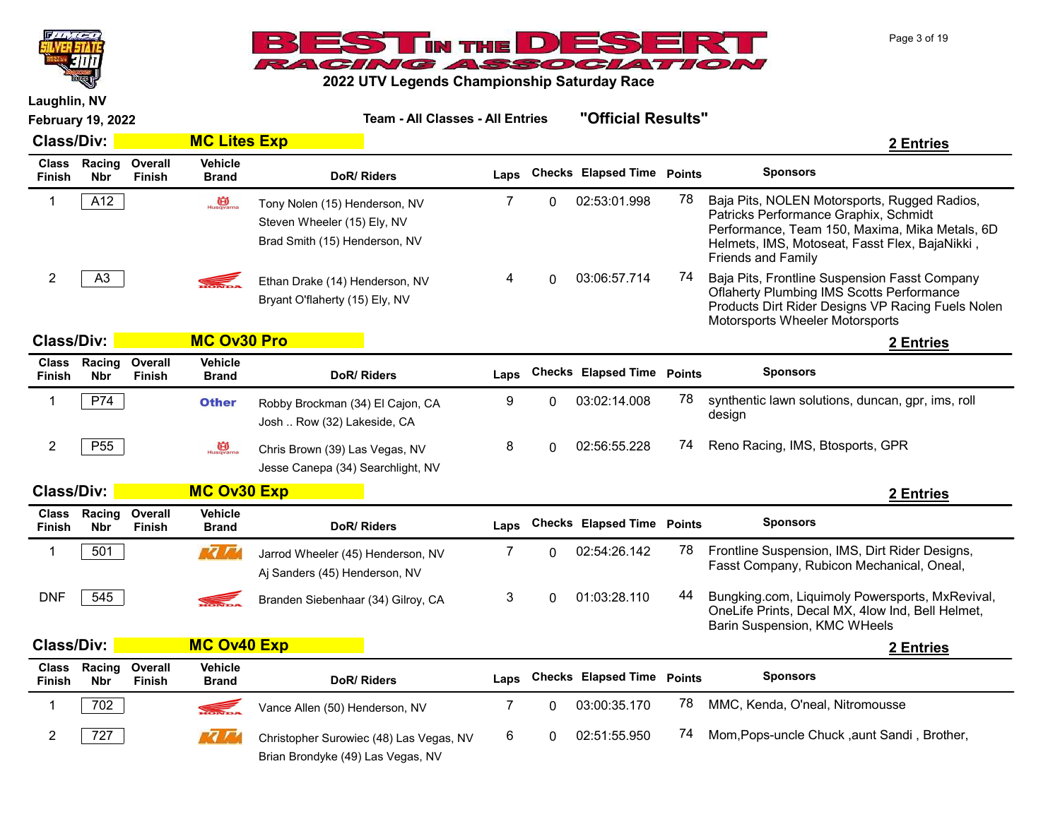



|                               | <b>February 19, 2022</b> |                          |                                | <b>Team - All Classes - All Entries</b>                                                       |      |   | "Official Results"                |               |                                                                                                                                                                                                                        |
|-------------------------------|--------------------------|--------------------------|--------------------------------|-----------------------------------------------------------------------------------------------|------|---|-----------------------------------|---------------|------------------------------------------------------------------------------------------------------------------------------------------------------------------------------------------------------------------------|
| <b>Class/Div:</b>             |                          |                          | <b>MC Lites Exp</b>            |                                                                                               |      |   |                                   |               | 2 Entries                                                                                                                                                                                                              |
| <b>Class</b><br>Finish        | Racing<br><b>Nbr</b>     | Overall<br>Finish        | <b>Vehicle</b><br><b>Brand</b> | DoR/Riders                                                                                    | Laps |   | <b>Checks Elapsed Time Points</b> |               | <b>Sponsors</b>                                                                                                                                                                                                        |
| 1                             | A12                      |                          | Husqvarna                      | Tony Nolen (15) Henderson, NV<br>Steven Wheeler (15) Ely, NV<br>Brad Smith (15) Henderson, NV | 7    | 0 | 02:53:01.998                      | 78            | Baja Pits, NOLEN Motorsports, Rugged Radios,<br>Patricks Performance Graphix, Schmidt<br>Performance, Team 150, Maxima, Mika Metals, 6D<br>Helmets, IMS, Motoseat, Fasst Flex, BajaNikki,<br><b>Friends and Family</b> |
| $\boldsymbol{2}$              | A <sub>3</sub>           |                          |                                | Ethan Drake (14) Henderson, NV<br>Bryant O'flaherty (15) Ely, NV                              | 4    | 0 | 03:06:57.714                      | 74            | Baja Pits, Frontline Suspension Fasst Company<br><b>Oflaherty Plumbing IMS Scotts Performance</b><br>Products Dirt Rider Designs VP Racing Fuels Nolen<br>Motorsports Wheeler Motorsports                              |
| <b>Class/Div:</b>             |                          |                          | <b>MC Ov30 Pro</b>             |                                                                                               |      |   |                                   |               | 2 Entries                                                                                                                                                                                                              |
| <b>Class</b><br><b>Finish</b> | Racing<br><b>Nbr</b>     | Overall<br><b>Finish</b> | <b>Vehicle</b><br><b>Brand</b> | DoR/Riders                                                                                    | Laps |   | <b>Checks Elapsed Time</b>        | <b>Points</b> | <b>Sponsors</b>                                                                                                                                                                                                        |
| 1                             | P74                      |                          | <b>Other</b>                   | Robby Brockman (34) El Cajon, CA<br>Josh  Row (32) Lakeside, CA                               | 9    | 0 | 03:02:14.008                      | 78            | synthentic lawn solutions, duncan, gpr, ims, roll<br>design                                                                                                                                                            |
| $\overline{2}$                | P <sub>55</sub>          |                          | Husqvarna                      | Chris Brown (39) Las Vegas, NV<br>Jesse Canepa (34) Searchlight, NV                           | 8    | 0 | 02:56:55.228                      | 74            | Reno Racing, IMS, Btosports, GPR                                                                                                                                                                                       |
| <b>Class/Div:</b>             |                          |                          | <b>MC Ov30 Exp</b>             |                                                                                               |      |   |                                   |               | 2 Entries                                                                                                                                                                                                              |
| <b>Class</b><br><b>Finish</b> | Racing<br><b>Nbr</b>     | Overall<br><b>Finish</b> | <b>Vehicle</b><br><b>Brand</b> | DoR/Riders                                                                                    | Laps |   | <b>Checks Elapsed Time Points</b> |               | <b>Sponsors</b>                                                                                                                                                                                                        |
| 1                             | 501                      |                          | <b>MC / Md</b>                 | Jarrod Wheeler (45) Henderson, NV<br>Aj Sanders (45) Henderson, NV                            | 7    | 0 | 02:54:26.142                      | 78            | Frontline Suspension, IMS, Dirt Rider Designs,<br>Fasst Company, Rubicon Mechanical, Oneal,                                                                                                                            |
| <b>DNF</b>                    | 545                      |                          | <b>RELATIONS</b>               | Branden Siebenhaar (34) Gilroy, CA                                                            | 3    | 0 | 01:03:28.110                      | 44            | Bungking.com, Liquimoly Powersports, MxRevival,<br>OneLife Prints, Decal MX, 4low Ind, Bell Helmet,<br>Barin Suspension, KMC WHeels                                                                                    |
| <b>Class/Div:</b>             |                          |                          | <b>MC Ov40 Exp</b>             |                                                                                               |      |   |                                   |               | 2 Entries                                                                                                                                                                                                              |
| <b>Class</b><br><b>Finish</b> | Racing<br><b>Nbr</b>     | Overall<br>Finish        | <b>Vehicle</b><br><b>Brand</b> | DoR/Riders                                                                                    | Laps |   | <b>Checks Elapsed Time Points</b> |               | <b>Sponsors</b>                                                                                                                                                                                                        |
| 1                             | 702                      |                          |                                | Vance Allen (50) Henderson, NV                                                                | 7    | 0 | 03:00:35.170                      | 78            | MMC, Kenda, O'neal, Nitromousse                                                                                                                                                                                        |
| 2                             | 727                      |                          | ra F                           | Christopher Surowiec (48) Las Vegas, NV<br>Brian Brondyke (49) Las Vegas, NV                  | 6    | 0 | 02:51:55.950                      | 74            | Mom, Pops-uncle Chuck, aunt Sandi, Brother,                                                                                                                                                                            |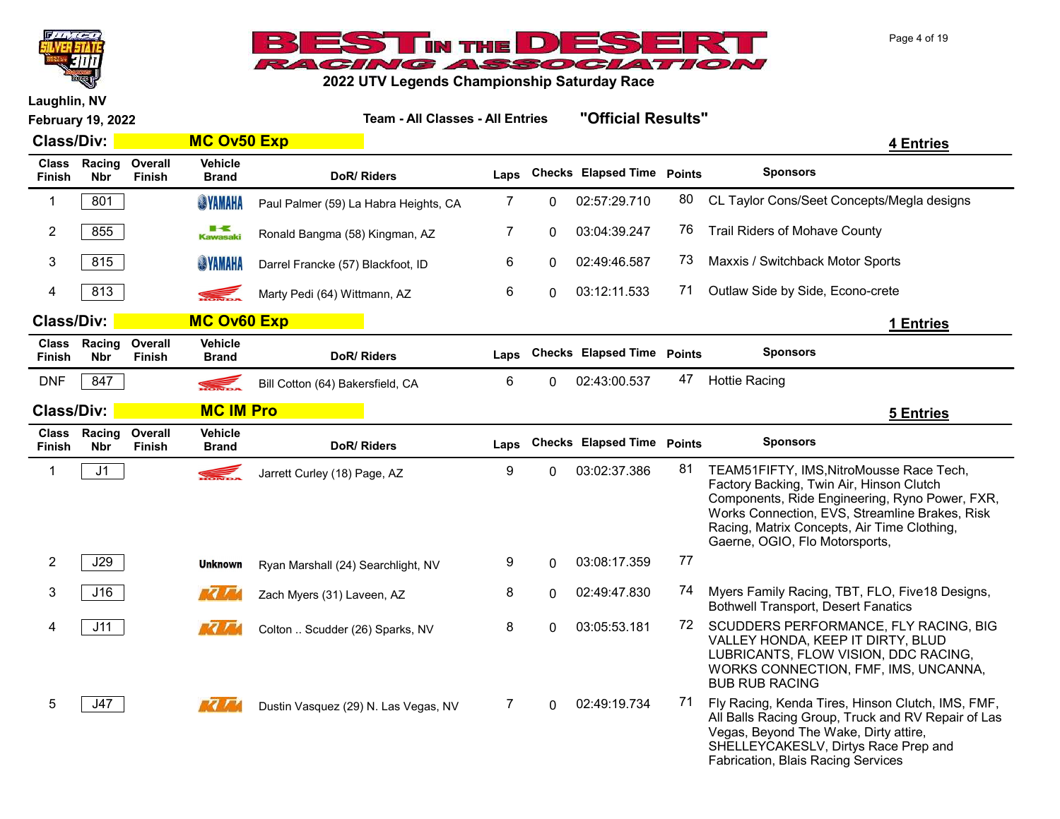



| <b>February 19, 2022</b>      |                      |                          | <b>Team - All Classes - All Entries</b> |                                       |      | "Official Results" |                                   |    |                                                                                                                                                                                                                                                                           |
|-------------------------------|----------------------|--------------------------|-----------------------------------------|---------------------------------------|------|--------------------|-----------------------------------|----|---------------------------------------------------------------------------------------------------------------------------------------------------------------------------------------------------------------------------------------------------------------------------|
| <b>Class/Div:</b>             |                      |                          | <b>MC Ov50 Exp</b>                      |                                       |      |                    |                                   |    | <b>4 Entries</b>                                                                                                                                                                                                                                                          |
| <b>Class</b><br><b>Finish</b> | Racing<br><b>Nbr</b> | Overall<br>Finish        | <b>Vehicle</b><br><b>Brand</b>          | DoR/Riders                            | Laps |                    | <b>Checks Elapsed Time Points</b> |    | <b>Sponsors</b>                                                                                                                                                                                                                                                           |
| 1                             | 801                  |                          | <b>SINAHA</b>                           | Paul Palmer (59) La Habra Heights, CA | 7    | $\Omega$           | 02:57:29.710                      | 80 | CL Taylor Cons/Seet Concepts/Megla designs                                                                                                                                                                                                                                |
| 2                             | 855                  |                          | <b>Kawasaki</b>                         | Ronald Bangma (58) Kingman, AZ        | 7    | 0                  | 03:04:39.247                      | 76 | <b>Trail Riders of Mohave County</b>                                                                                                                                                                                                                                      |
| 3                             | 815                  |                          | <b>SINAHA</b>                           | Darrel Francke (57) Blackfoot, ID     | 6    | $\Omega$           | 02:49:46.587                      | 73 | Maxxis / Switchback Motor Sports                                                                                                                                                                                                                                          |
| 4                             | 813                  |                          |                                         | Marty Pedi (64) Wittmann, AZ          | 6    | $\Omega$           | 03:12:11.533                      | 71 | Outlaw Side by Side, Econo-crete                                                                                                                                                                                                                                          |
| <b>Class/Div:</b>             |                      |                          | <b>MC Ov60 Exp</b>                      |                                       |      |                    |                                   |    | 1 Entries                                                                                                                                                                                                                                                                 |
| <b>Class</b><br><b>Finish</b> | Racing<br><b>Nbr</b> | Overall<br><b>Finish</b> | <b>Vehicle</b><br><b>Brand</b>          | DoR/Riders                            | Laps |                    | Checks Elapsed Time Points        |    | <b>Sponsors</b>                                                                                                                                                                                                                                                           |
| <b>DNF</b>                    | 847                  |                          |                                         | Bill Cotton (64) Bakersfield, CA      | 6    | $\Omega$           | 02:43:00.537                      | 47 | <b>Hottie Racing</b>                                                                                                                                                                                                                                                      |
| <b>Class/Div:</b>             |                      |                          | <b>MC IM Pro</b>                        |                                       |      |                    |                                   |    | <b>5 Entries</b>                                                                                                                                                                                                                                                          |
| <b>Class</b><br>Finish        | Racing<br><b>Nbr</b> | Overall<br><b>Finish</b> | <b>Vehicle</b><br><b>Brand</b>          | <b>DoR/Riders</b>                     | Laps |                    | <b>Checks Elapsed Time Points</b> |    | <b>Sponsors</b>                                                                                                                                                                                                                                                           |
| 1                             | J <sub>1</sub>       |                          | <b>SEL</b>                              | Jarrett Curley (18) Page, AZ          | 9    | $\Omega$           | 03:02:37.386                      | 81 | TEAM51FIFTY, IMS, NitroMousse Race Tech,<br>Factory Backing, Twin Air, Hinson Clutch<br>Components, Ride Engineering, Ryno Power, FXR,<br>Works Connection, EVS, Streamline Brakes, Risk<br>Racing, Matrix Concepts, Air Time Clothing,<br>Gaerne, OGIO, Flo Motorsports, |
| $\overline{2}$                | J29                  |                          | <b>Unknown</b>                          | Ryan Marshall (24) Searchlight, NV    | 9    | 0                  | 03:08:17.359                      | 77 |                                                                                                                                                                                                                                                                           |
| 3                             | J16                  |                          | <b>RA FR</b>                            | Zach Myers (31) Laveen, AZ            | 8    | 0                  | 02:49:47.830                      | 74 | Myers Family Racing, TBT, FLO, Five18 Designs,<br><b>Bothwell Transport, Desert Fanatics</b>                                                                                                                                                                              |
| 4                             | J11                  |                          | <b>REA</b>                              | Colton  Scudder (26) Sparks, NV       | 8    | $\Omega$           | 03:05:53.181                      | 72 | SCUDDERS PERFORMANCE, FLY RACING, BIG<br>VALLEY HONDA, KEEP IT DIRTY, BLUD<br>LUBRICANTS, FLOW VISION, DDC RACING,<br>WORKS CONNECTION, FMF, IMS, UNCANNA,<br><b>BUB RUB RACING</b>                                                                                       |
| 5                             | J47                  |                          | <b>REAL AND</b>                         | Dustin Vasquez (29) N. Las Vegas, NV  | 7    | $\Omega$           | 02:49:19.734                      | 71 | Fly Racing, Kenda Tires, Hinson Clutch, IMS, FMF,<br>All Balls Racing Group, Truck and RV Repair of Las<br>Vegas, Beyond The Wake, Dirty attire,<br>SHELLEYCAKESLV, Dirtys Race Prep and<br>Fabrication, Blais Racing Services                                            |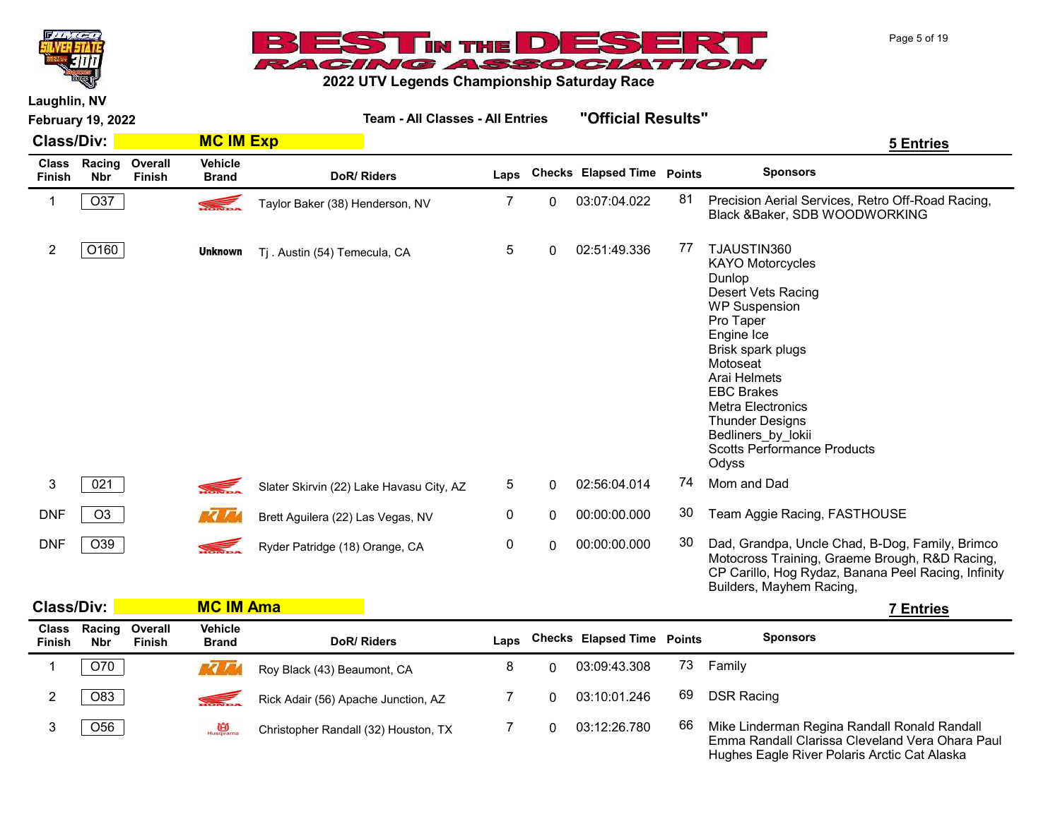



2022 UTV Legends Championship Saturday Race

|                               | <b>February 19, 2022</b> |                   |                         | <b>Team - All Classes - All Entries</b>  |      |          | "Official Results"         |    |                                                                                                                                                                                                                                                                                                                            |
|-------------------------------|--------------------------|-------------------|-------------------------|------------------------------------------|------|----------|----------------------------|----|----------------------------------------------------------------------------------------------------------------------------------------------------------------------------------------------------------------------------------------------------------------------------------------------------------------------------|
| <b>Class/Div:</b>             |                          |                   | <b>MC IM Exp</b>        |                                          |      |          |                            |    | <b>5 Entries</b>                                                                                                                                                                                                                                                                                                           |
| <b>Class</b><br><b>Finish</b> | Racing<br><b>Nbr</b>     | Overall<br>Finish | Vehicle<br><b>Brand</b> | DoR/Riders                               | Laps |          | Checks Elapsed Time Points |    | <b>Sponsors</b>                                                                                                                                                                                                                                                                                                            |
| 1                             | O37                      |                   |                         | Taylor Baker (38) Henderson, NV          | 7    | 0        | 03:07:04.022               | 81 | Precision Aerial Services, Retro Off-Road Racing,<br>Black & Baker, SDB WOODWORKING                                                                                                                                                                                                                                        |
| 2                             | O160                     |                   | <b>Unknown</b>          | Tj. Austin (54) Temecula, CA             | 5    | 0        | 02:51:49.336               | 77 | TJAUSTIN360<br><b>KAYO Motorcycles</b><br>Dunlop<br>Desert Vets Racing<br><b>WP Suspension</b><br>Pro Taper<br>Engine Ice<br>Brisk spark plugs<br>Motoseat<br>Arai Helmets<br><b>EBC Brakes</b><br><b>Metra Electronics</b><br><b>Thunder Designs</b><br>Bedliners by lokii<br><b>Scotts Performance Products</b><br>Odyss |
| 3                             | 021                      |                   |                         | Slater Skirvin (22) Lake Havasu City, AZ | 5    | 0        | 02:56:04.014               | 74 | Mom and Dad                                                                                                                                                                                                                                                                                                                |
| <b>DNF</b>                    | O <sub>3</sub>           |                   | <b>ME ZEA</b>           | Brett Aguilera (22) Las Vegas, NV        | 0    | $\Omega$ | 00:00:00.000               | 30 | Team Aggie Racing, FASTHOUSE                                                                                                                                                                                                                                                                                               |
| <b>DNF</b>                    | O39                      |                   | <b>SEL</b>              | Ryder Patridge (18) Orange, CA           | 0    | $\Omega$ | 00:00:00.000               | 30 | Dad, Grandpa, Uncle Chad, B-Dog, Family, Brimco<br>Motocross Training, Graeme Brough, R&D Racing,<br>CP Carillo, Hog Rydaz, Banana Peel Racing, Infinity<br>Builders, Mayhem Racing,                                                                                                                                       |

|                               | <b>Class/Div:</b> |                          |                                | <b>MC IM Ama</b>                     |      |  |                                   |    |                                                                                                                                                 |  |  |
|-------------------------------|-------------------|--------------------------|--------------------------------|--------------------------------------|------|--|-----------------------------------|----|-------------------------------------------------------------------------------------------------------------------------------------------------|--|--|
| <b>Class</b><br><b>Finish</b> | Racing<br>Nbr     | Overall<br><b>Finish</b> | <b>Vehicle</b><br><b>Brand</b> | DoR/Riders                           | Laps |  | <b>Checks Elapsed Time Points</b> |    | <b>Sponsors</b>                                                                                                                                 |  |  |
|                               | O70               |                          |                                | Roy Black (43) Beaumont, CA          |      |  | 03:09:43.308                      | 73 | Family                                                                                                                                          |  |  |
|                               | O83               |                          |                                | Rick Adair (56) Apache Junction, AZ  |      |  | 03:10:01.246                      | 69 | <b>DSR Racing</b>                                                                                                                               |  |  |
|                               | $\mathcal{O}56$   |                          | Husqvarna                      | Christopher Randall (32) Houston, TX |      |  | 03:12:26.780                      | 66 | Mike Linderman Regina Randall Ronald Randall<br>Emma Randall Clarissa Cleveland Vera Ohara Paul<br>Hughes Eagle River Polaris Arctic Cat Alaska |  |  |

Page 5 of 19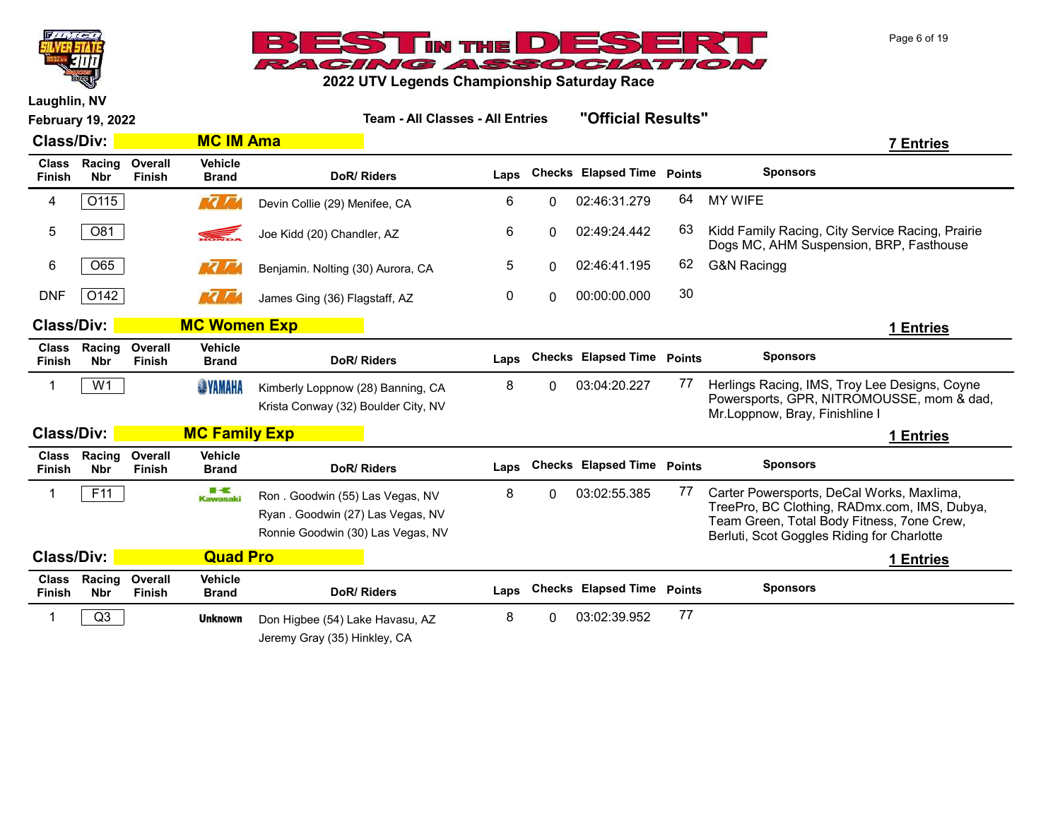



|                               | "Official Results"<br><b>Team - All Classes - All Entries</b><br><b>February 19, 2022</b> |                          |                                |                                                                                                          |      |          |                                   |               |                                                                                                                                                                                       |
|-------------------------------|-------------------------------------------------------------------------------------------|--------------------------|--------------------------------|----------------------------------------------------------------------------------------------------------|------|----------|-----------------------------------|---------------|---------------------------------------------------------------------------------------------------------------------------------------------------------------------------------------|
| <b>Class/Div:</b>             |                                                                                           |                          | <b>MC IM Ama</b>               |                                                                                                          |      |          |                                   |               | <b>7 Entries</b>                                                                                                                                                                      |
| <b>Class</b><br><b>Finish</b> | Racing<br><b>Nbr</b>                                                                      | Overall<br><b>Finish</b> | <b>Vehicle</b><br><b>Brand</b> | DoR/Riders                                                                                               | Laps |          | <b>Checks Elapsed Time</b>        | <b>Points</b> | <b>Sponsors</b>                                                                                                                                                                       |
| 4                             | O115                                                                                      |                          | <b>MA MA</b>                   | Devin Collie (29) Menifee, CA                                                                            | 6    | 0        | 02:46:31.279                      | 64            | <b>MY WIFE</b>                                                                                                                                                                        |
| 5                             | O81                                                                                       |                          | S.                             | Joe Kidd (20) Chandler, AZ                                                                               | 6    | 0        | 02:49:24.442                      | 63            | Kidd Family Racing, City Service Racing, Prairie<br>Dogs MC, AHM Suspension, BRP, Fasthouse                                                                                           |
| 6                             | O65                                                                                       |                          | <b>MA MA</b>                   | Benjamin. Nolting (30) Aurora, CA                                                                        | 5    | $\Omega$ | 02:46:41.195                      | 62            | <b>G&amp;N Racingg</b>                                                                                                                                                                |
| <b>DNF</b>                    | O142                                                                                      |                          | <b>MA MA</b>                   | James Ging (36) Flagstaff, AZ                                                                            | 0    | 0        | 00:00:00.000                      | 30            |                                                                                                                                                                                       |
| <b>Class/Div:</b>             |                                                                                           |                          | <b>MC Women Exp</b>            |                                                                                                          |      |          |                                   |               | 1 Entries                                                                                                                                                                             |
| <b>Class</b><br><b>Finish</b> | Racing<br><b>Nbr</b>                                                                      | Overall<br><b>Finish</b> | <b>Vehicle</b><br><b>Brand</b> | DoR/Riders                                                                                               | Laps |          | <b>Checks Elapsed Time</b>        | <b>Points</b> | <b>Sponsors</b>                                                                                                                                                                       |
| 1                             | W <sub>1</sub>                                                                            |                          | <b>SYAMAHA</b>                 | Kimberly Loppnow (28) Banning, CA<br>Krista Conway (32) Boulder City, NV                                 | 8    | 0        | 03:04:20.227                      | 77            | Herlings Racing, IMS, Troy Lee Designs, Coyne<br>Powersports, GPR, NITROMOUSSE, mom & dad,<br>Mr.Loppnow, Bray, Finishline I                                                          |
| <b>Class/Div:</b>             |                                                                                           |                          | <b>MC Family Exp</b>           |                                                                                                          |      |          |                                   |               | 1 Entries                                                                                                                                                                             |
| <b>Class</b><br><b>Finish</b> | Racing<br><b>Nbr</b>                                                                      | Overall<br><b>Finish</b> | <b>Vehicle</b><br><b>Brand</b> | DoR/Riders                                                                                               | Laps |          | <b>Checks Elapsed Time Points</b> |               | <b>Sponsors</b>                                                                                                                                                                       |
| -1                            | F11                                                                                       |                          | ■−€<br><b>Kawasaki</b>         | Ron. Goodwin (55) Las Vegas, NV<br>Ryan. Goodwin (27) Las Vegas, NV<br>Ronnie Goodwin (30) Las Vegas, NV | 8    | 0        | 03:02:55.385                      | 77            | Carter Powersports, DeCal Works, Maxlima,<br>TreePro, BC Clothing, RADmx.com, IMS, Dubya,<br>Team Green, Total Body Fitness, 7one Crew,<br>Berluti, Scot Goggles Riding for Charlotte |
| <b>Class/Div:</b>             |                                                                                           |                          | <b>Quad Pro</b>                |                                                                                                          |      |          |                                   |               | 1 Entries                                                                                                                                                                             |
| <b>Class</b><br>Finish        | Racing<br><b>Nbr</b>                                                                      | Overall<br>Finish        | <b>Vehicle</b><br><b>Brand</b> | DoR/Riders                                                                                               | Laps |          | <b>Checks Elapsed Time</b>        | <b>Points</b> | <b>Sponsors</b>                                                                                                                                                                       |
| -1                            | Q3                                                                                        |                          | <b>Unknown</b>                 | Don Higbee (54) Lake Havasu, AZ<br>Jeremy Gray (35) Hinkley, CA                                          | 8    | 0        | 03:02:39.952                      | 77            |                                                                                                                                                                                       |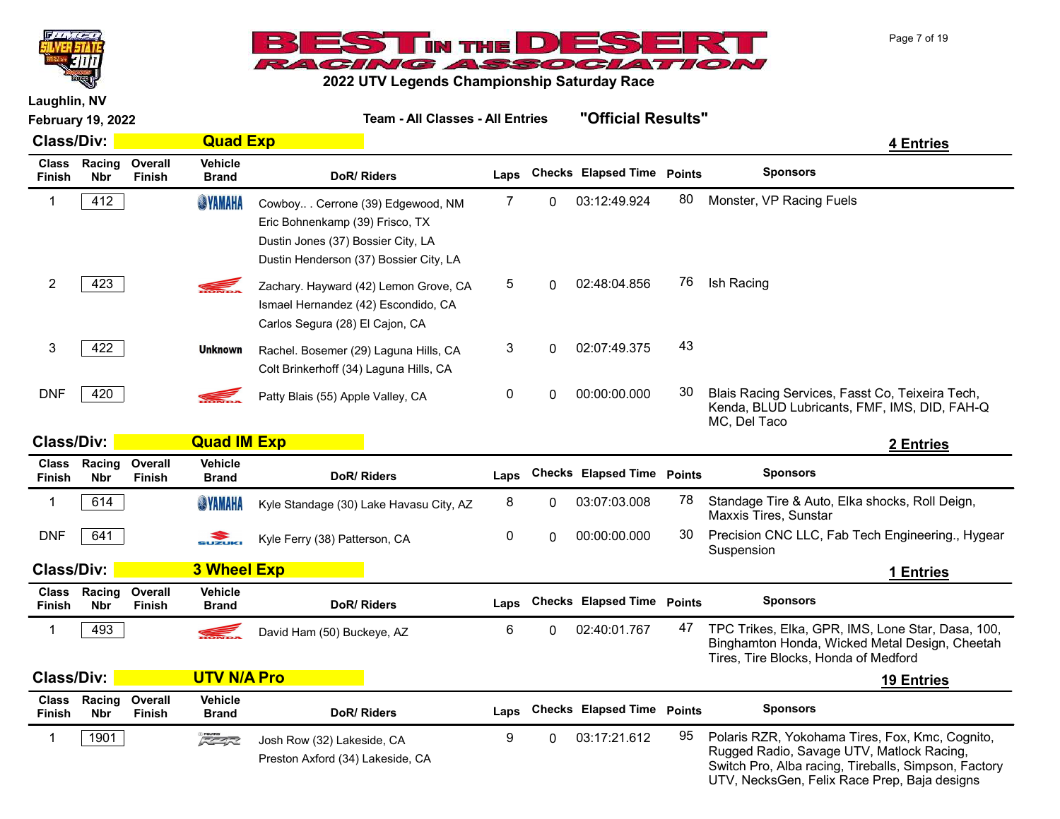



2022 UTV Legends Championship Saturday Race

| <b>February 19, 2022</b>      |                      |                          | <b>Team - All Classes - All Entries</b> |                                                                                                                                                     |                  | "Official Results" |                                   |    |                                                                                                                                                                                                      |
|-------------------------------|----------------------|--------------------------|-----------------------------------------|-----------------------------------------------------------------------------------------------------------------------------------------------------|------------------|--------------------|-----------------------------------|----|------------------------------------------------------------------------------------------------------------------------------------------------------------------------------------------------------|
| <b>Class/Div:</b>             |                      |                          | <b>Quad Exp</b>                         |                                                                                                                                                     |                  |                    |                                   |    | 4 Entries                                                                                                                                                                                            |
| <b>Class</b><br><b>Finish</b> | Racing<br><b>Nbr</b> | Overall<br><b>Finish</b> | <b>Vehicle</b><br><b>Brand</b>          | DoR/Riders                                                                                                                                          | Laps             |                    | <b>Checks Elapsed Time Points</b> |    | <b>Sponsors</b>                                                                                                                                                                                      |
| 1                             | 412                  |                          | <b>SYAMAHA</b>                          | Cowboy Cerrone (39) Edgewood, NM<br>Eric Bohnenkamp (39) Frisco, TX<br>Dustin Jones (37) Bossier City, LA<br>Dustin Henderson (37) Bossier City, LA | 7                | 0                  | 03:12:49.924                      | 80 | Monster, VP Racing Fuels                                                                                                                                                                             |
| $\overline{2}$                | 423                  |                          | S.                                      | Zachary. Hayward (42) Lemon Grove, CA<br>Ismael Hernandez (42) Escondido, CA<br>Carlos Segura (28) El Cajon, CA                                     | 5                | 0                  | 02:48:04.856                      | 76 | Ish Racing                                                                                                                                                                                           |
| 3                             | 422                  |                          | <b>Unknown</b>                          | Rachel. Bosemer (29) Laguna Hills, CA<br>Colt Brinkerhoff (34) Laguna Hills, CA                                                                     | 3                | $\Omega$           | 02:07:49.375                      | 43 |                                                                                                                                                                                                      |
| <b>DNF</b>                    | 420                  |                          |                                         | Patty Blais (55) Apple Valley, CA                                                                                                                   | $\pmb{0}$        | 0                  | 00:00:00.000                      | 30 | Blais Racing Services, Fasst Co, Teixeira Tech,<br>Kenda, BLUD Lubricants, FMF, IMS, DID, FAH-Q<br>MC, Del Taco                                                                                      |
| <b>Class/Div:</b>             |                      |                          | <b>Quad IM Exp</b>                      |                                                                                                                                                     |                  |                    |                                   |    | 2 Entries                                                                                                                                                                                            |
| <b>Class</b><br><b>Finish</b> | Racing<br><b>Nbr</b> | Overall<br><b>Finish</b> | <b>Vehicle</b><br><b>Brand</b>          | <b>DoR/Riders</b>                                                                                                                                   | Laps             |                    | <b>Checks Elapsed Time Points</b> |    | <b>Sponsors</b>                                                                                                                                                                                      |
| 1                             | 614                  |                          | <b>SYAMAHA</b>                          | Kyle Standage (30) Lake Havasu City, AZ                                                                                                             | 8                | 0                  | 03:07:03.008                      | 78 | Standage Tire & Auto, Elka shocks, Roll Deign,<br>Maxxis Tires, Sunstar                                                                                                                              |
| <b>DNF</b>                    | 641                  |                          | $\sum_{\text{SUXUK}}$                   | Kyle Ferry (38) Patterson, CA                                                                                                                       | $\boldsymbol{0}$ | $\Omega$           | 00:00:00.000                      | 30 | Precision CNC LLC, Fab Tech Engineering., Hygear<br>Suspension                                                                                                                                       |
| <b>Class/Div:</b>             |                      |                          | <b>3 Wheel Exp</b>                      |                                                                                                                                                     |                  |                    |                                   |    | 1 Entries                                                                                                                                                                                            |
| <b>Class</b><br><b>Finish</b> | Racing<br><b>Nbr</b> | Overall<br><b>Finish</b> | <b>Vehicle</b><br><b>Brand</b>          | DoR/Riders                                                                                                                                          | Laps             |                    | <b>Checks Elapsed Time Points</b> |    | <b>Sponsors</b>                                                                                                                                                                                      |
| 1                             | 493                  |                          |                                         | David Ham (50) Buckeye, AZ                                                                                                                          | 6                | 0                  | 02:40:01.767                      | 47 | TPC Trikes, Elka, GPR, IMS, Lone Star, Dasa, 100,<br>Binghamton Honda, Wicked Metal Design, Cheetah<br>Tires, Tire Blocks, Honda of Medford                                                          |
| <b>Class/Div:</b>             |                      |                          | <b>UTV N/A Pro</b>                      |                                                                                                                                                     |                  |                    |                                   |    | <b>19 Entries</b>                                                                                                                                                                                    |
| <b>Class</b><br><b>Finish</b> | Racing<br><b>Nbr</b> | Overall<br><b>Finish</b> | <b>Vehicle</b><br><b>Brand</b>          | DoR/Riders                                                                                                                                          | Laps             |                    | <b>Checks Elapsed Time Points</b> |    | <b>Sponsors</b>                                                                                                                                                                                      |
| $\mathbf 1$                   | 1901                 |                          | $\sqrt{2}$                              | Josh Row (32) Lakeside, CA<br>Preston Axford (34) Lakeside, CA                                                                                      | 9                | 0                  | 03:17:21.612                      | 95 | Polaris RZR, Yokohama Tires, Fox, Kmc, Cognito,<br>Rugged Radio, Savage UTV, Matlock Racing,<br>Switch Pro, Alba racing, Tireballs, Simpson, Factory<br>UTV, NecksGen, Felix Race Prep, Baja designs |

Page 7 of 19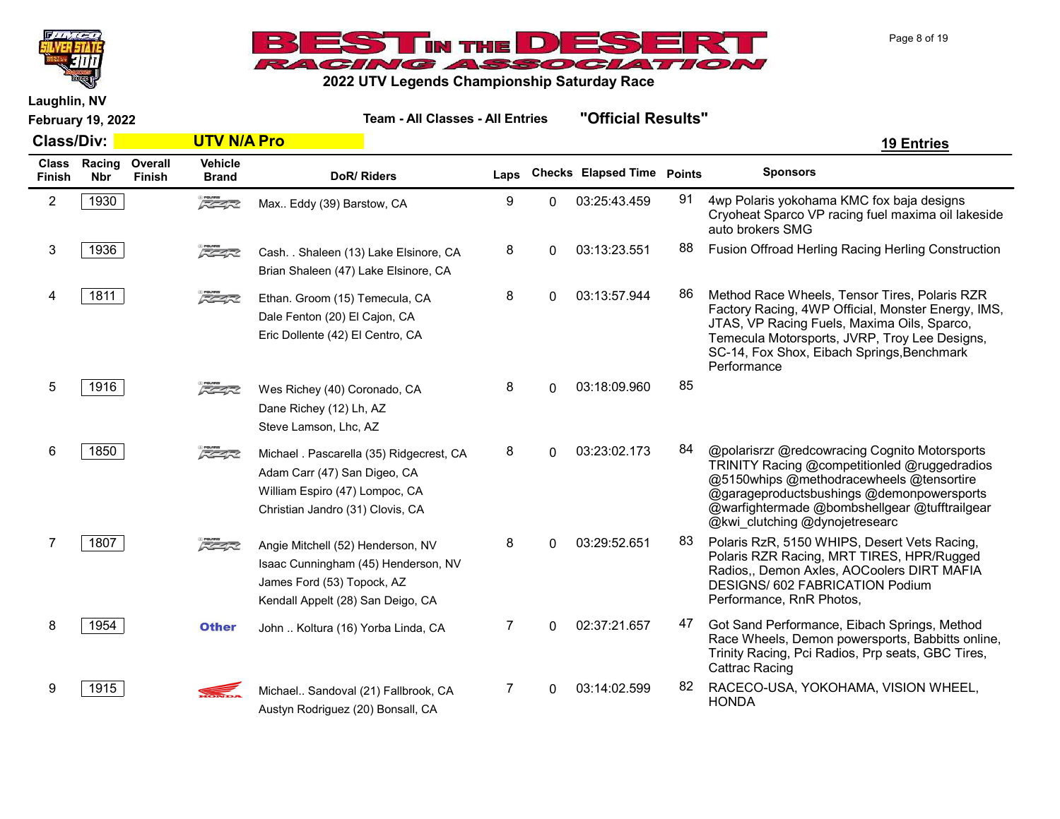



Laughlin, NV

| <b>Class/Div:</b>             |                      |                          | <b>UTV N/A Pro</b>             |                                                                                                                                                |      |              |                            |    | <b>19 Entries</b>                                                                                                                                                                                                                                                         |
|-------------------------------|----------------------|--------------------------|--------------------------------|------------------------------------------------------------------------------------------------------------------------------------------------|------|--------------|----------------------------|----|---------------------------------------------------------------------------------------------------------------------------------------------------------------------------------------------------------------------------------------------------------------------------|
| <b>Class</b><br><b>Finish</b> | Racing<br><b>Nbr</b> | Overall<br><b>Finish</b> | <b>Vehicle</b><br><b>Brand</b> | DoR/Riders                                                                                                                                     | Laps |              | Checks Elapsed Time Points |    | <b>Sponsors</b>                                                                                                                                                                                                                                                           |
| $\overline{2}$                | 1930                 |                          | $\sqrt{2}$                     | Max Eddy (39) Barstow, CA                                                                                                                      | 9    | 0            | 03:25:43.459               | 91 | 4wp Polaris yokohama KMC fox baja designs<br>Cryoheat Sparco VP racing fuel maxima oil lakeside<br>auto brokers SMG                                                                                                                                                       |
| 3                             | 1936                 |                          | $\sqrt{2}$                     | Cash. . Shaleen (13) Lake Elsinore, CA<br>Brian Shaleen (47) Lake Elsinore, CA                                                                 | 8    | $\Omega$     | 03:13:23.551               | 88 | Fusion Offroad Herling Racing Herling Construction                                                                                                                                                                                                                        |
| 4                             | 1811                 |                          | $\sqrt{2}$                     | Ethan. Groom (15) Temecula, CA<br>Dale Fenton (20) El Cajon, CA<br>Eric Dollente (42) El Centro, CA                                            | 8    | $\Omega$     | 03:13:57.944               | 86 | Method Race Wheels, Tensor Tires, Polaris RZR<br>Factory Racing, 4WP Official, Monster Energy, IMS,<br>JTAS, VP Racing Fuels, Maxima Oils, Sparco,<br>Temecula Motorsports, JVRP, Troy Lee Designs,<br>SC-14, Fox Shox, Eibach Springs, Benchmark<br>Performance          |
| 5                             | 1916                 |                          | $\sqrt{2}$                     | Wes Richey (40) Coronado, CA<br>Dane Richey (12) Lh, AZ<br>Steve Lamson, Lhc, AZ                                                               | 8    | 0            | 03:18:09.960               | 85 |                                                                                                                                                                                                                                                                           |
| 6                             | 1850                 |                          | $\sqrt{2}$                     | Michael . Pascarella (35) Ridgecrest, CA<br>Adam Carr (47) San Digeo, CA<br>William Espiro (47) Lompoc, CA<br>Christian Jandro (31) Clovis, CA | 8    | <sup>0</sup> | 03:23:02.173               | 84 | @polarisrzr @redcowracing Cognito Motorsports<br>TRINITY Racing @competitionled @ruggedradios<br>@5150whips @methodracewheels @tensortire<br>@garageproductsbushings @demonpowersports<br>@warfightermade @bombshellgear @tufftrailgear<br>@kwi clutching @dynojetresearc |
|                               | 1807                 |                          | F <del>C 4</del> 72            | Angie Mitchell (52) Henderson, NV<br>Isaac Cunningham (45) Henderson, NV<br>James Ford (53) Topock, AZ<br>Kendall Appelt (28) San Deigo, CA    | 8    | 0            | 03:29:52.651               | 83 | Polaris RzR, 5150 WHIPS, Desert Vets Racing,<br>Polaris RZR Racing, MRT TIRES, HPR/Rugged<br>Radios,, Demon Axles, AOCoolers DIRT MAFIA<br>DESIGNS/ 602 FABRICATION Podium<br>Performance, RnR Photos,                                                                    |
| 8                             | 1954                 |                          | <b>Other</b>                   | John  Koltura (16) Yorba Linda, CA                                                                                                             | 7    | <sup>n</sup> | 02:37:21.657               | 47 | Got Sand Performance, Eibach Springs, Method<br>Race Wheels, Demon powersports, Babbitts online,<br>Trinity Racing, Pci Radios, Prp seats, GBC Tires,<br><b>Cattrac Racing</b>                                                                                            |
| 9                             | 1915                 |                          |                                | Michael Sandoval (21) Fallbrook, CA<br>Austyn Rodriguez (20) Bonsall, CA                                                                       | 7    | 0            | 03:14:02.599               | 82 | RACECO-USA, YOKOHAMA, VISION WHEEL,<br><b>HONDA</b>                                                                                                                                                                                                                       |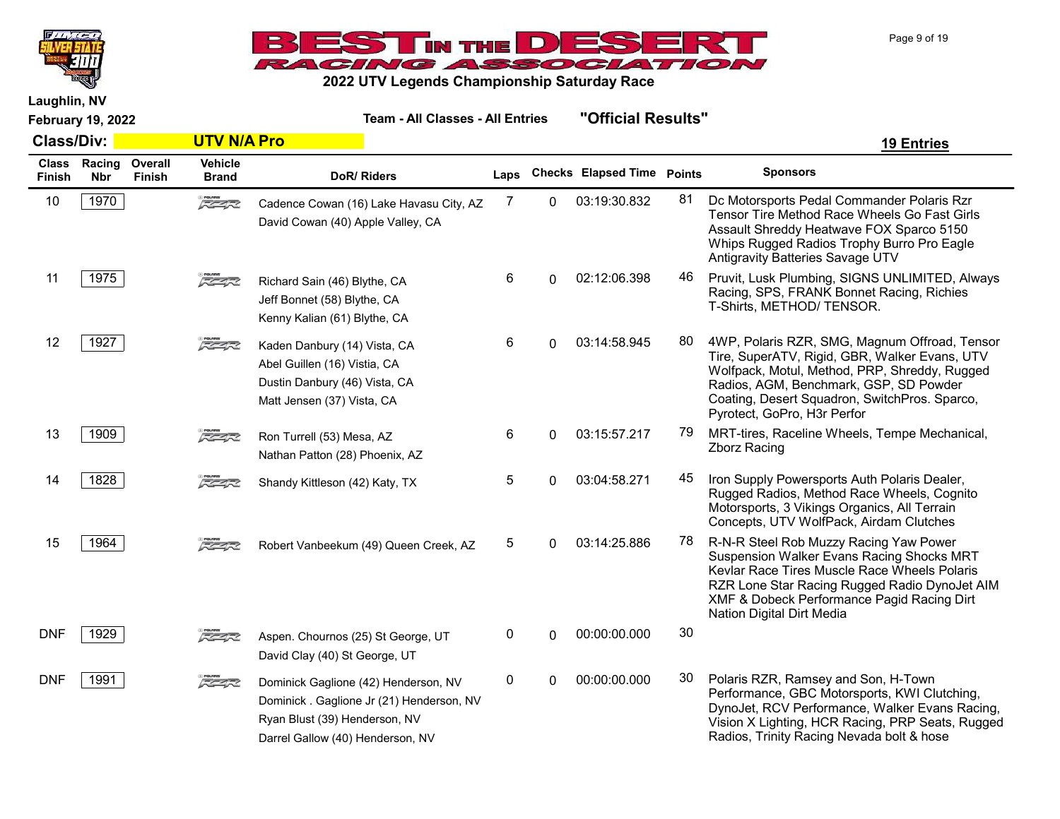



2022 UTV Legends Championship Saturday Race

February 19, 2022 Team - All Classes - All Entries "Official Results" Class/Div: UTV N/A Pro 19 Entries Class Racing Finish Nbr **Overall** Finish **Vehicle**<br>Brand DoR/ Riders **Laps** Checks Elapsed Time Points Sponsors 10 | 1970 | Cadence Cowan (16) Lake Havasu City, AZ 7 0 03:19:30.832 81 Dc Motorsports Pedal Commander Polaris Rzr Tensor Tire Method Race Wheels Go Fast Girls Assault Shreddy Heatwave FOX Sparco 5150 Whips Rugged Radios Trophy Burro Pro Eagle Antigravity Batteries Savage UTV Cadence Cowan (16) Lake Havasu City, AZ David Cowan (40) Apple Valley, CA 11 | 1975 | The CA Richard Sain (46) Blythe CA 6 0 02:12:06.398 46 Pruvit, Lusk Plumbing, SIGNS UNLIMITED, Always Racing, SPS, FRANK Bonnet Racing, Richies T-Shirts, METHOD/ TENSOR. Richard Sain (46) Blythe, CA Jeff Bonnet (58) Blythe, CA Kenny Kalian (61) Blythe, CA 12 | 1927 | Samma Care Raden Danbury (14) Vista CA  $\overline{6}$  0 03:14:58.945 80 4WP, Polaris RZR, SMG, Magnum Offroad, Tensor Tire, SuperATV, Rigid, GBR, Walker Evans, UTV Wolfpack, Motul, Method, PRP, Shreddy, Rugged Radios, AGM, Benchmark, GSP, SD Powder Coating, Desert Squadron, SwitchPros. Sparco, Pyrotect, GoPro, H3r Perfor Kaden Danbury (14) Vista, CA Abel Guillen (16) Vistia, CA Dustin Danbury (46) Vista, CA Matt Jensen (37) Vista, CA 13 | 1909 |  $\frac{1}{2}$  Ron Turrell (53) Mesa, AZ 6 0 03:15:57.217 79 MRT-tires, Raceline Wheels, Tempe Mechanical, Zborz Racing Ron Turrell (53) Mesa, AZ Nathan Patton (28) Phoenix, AZ 14 | 1828 | The Standy Kittleson (42) Katy TX 5 0 03:04:58.271 45 Iron Supply Powersports Auth Polaris Dealer, Rugged Radios, Method Race Wheels, Cognito Motorsports, 3 Vikings Organics, All Terrain Concepts, UTV WolfPack, Airdam Clutches Shandy Kittleson (42) Katy, TX 15 | 1964 | Camera Robert Vanbeekum (49) Queen Creek, AZ 5 0 03:14:25.886 78 R-N-R Steel Rob Muzzy Racing Yaw Power Suspension Walker Evans Racing Shocks MRT Kevlar Race Tires Muscle Race Wheels Polaris RZR Lone Star Racing Rugged Radio DynoJet AIM XMF & Dobeck Performance Pagid Racing Dirt Nation Digital Dirt Media Robert Vanbeekum (49) Queen Creek, AZ DNF 1929 **2 22 Aspen.** Chournos (25) St George, UT 0 0 00:00:00.000 30 David Clay (40) St George, UT DNF 1991 **Polaris RZR, Ramsey and Son, H-Town** Polaris RZR, Ramsey and Son, H-Town Performance, GBC Motorsports, KWI Clutching, DynoJet, RCV Performance, Walker Evans Racing, Vision X Lighting, HCR Racing, PRP Seats, Rugged Radios, Trinity Racing Nevada bolt & hose Dominick Gaglione (42) Henderson, NV Dominick . Gaglione Jr (21) Henderson, NV Ryan Blust (39) Henderson, NV Darrel Gallow (40) Henderson, NV

Page 9 of 19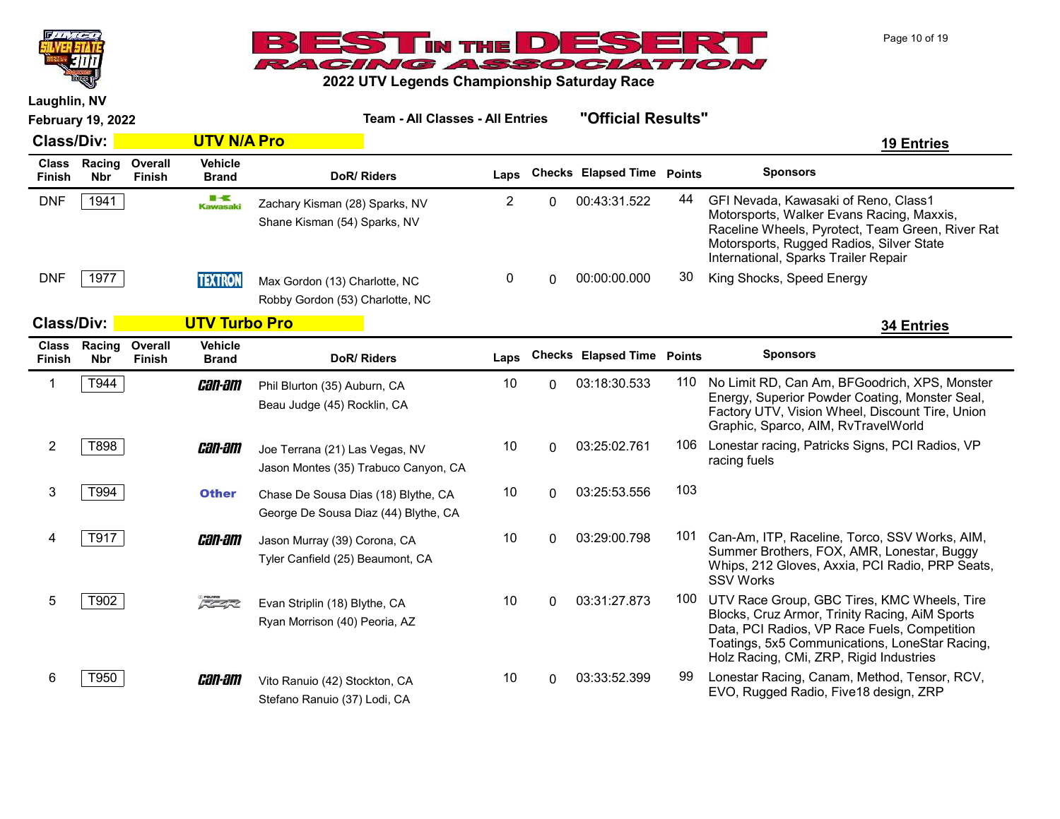



| <b>February 19, 2022</b> |                            |                   |                                | <b>Team - All Classes - All Entries</b>                                     |                |          | "Official Results"                |     |                                                                                                                                                                                                                                            |
|--------------------------|----------------------------|-------------------|--------------------------------|-----------------------------------------------------------------------------|----------------|----------|-----------------------------------|-----|--------------------------------------------------------------------------------------------------------------------------------------------------------------------------------------------------------------------------------------------|
| <b>Class/Div:</b>        |                            |                   | <b>UTV N/A Pro</b>             |                                                                             |                |          |                                   |     | <b>19 Entries</b>                                                                                                                                                                                                                          |
| <b>Class</b><br>Finish   | Racing<br><b>Nbr</b>       | Overall<br>Finish | <b>Vehicle</b><br><b>Brand</b> | DoR/Riders                                                                  | Laps           |          | <b>Checks Elapsed Time Points</b> |     | <b>Sponsors</b>                                                                                                                                                                                                                            |
| <b>DNF</b>               | 1941                       |                   | ■⋖<br><b>Kawasaki</b>          | Zachary Kisman (28) Sparks, NV<br>Shane Kisman (54) Sparks, NV              | $\overline{2}$ | 0        | 00:43:31.522                      | 44  | GFI Nevada, Kawasaki of Reno, Class1<br>Motorsports, Walker Evans Racing, Maxxis,<br>Raceline Wheels, Pyrotect, Team Green, River Rat<br>Motorsports, Rugged Radios, Silver State<br>International, Sparks Trailer Repair                  |
| <b>DNF</b>               | 1977                       |                   | <b>TEXTRON</b>                 | Max Gordon (13) Charlotte, NC<br>Robby Gordon (53) Charlotte, NC            | 0              | $\Omega$ | 00:00:00.000                      | 30  | King Shocks, Speed Energy                                                                                                                                                                                                                  |
| <b>Class/Div:</b>        |                            |                   | <b>UTV Turbo Pro</b>           |                                                                             |                |          |                                   |     | <b>34 Entries</b>                                                                                                                                                                                                                          |
| Finish                   | Class Racing<br><b>Nbr</b> | Overall<br>Finish | <b>Vehicle</b><br><b>Brand</b> | DoR/Riders                                                                  | Laps           |          | <b>Checks Elapsed Time Points</b> |     | <b>Sponsors</b>                                                                                                                                                                                                                            |
| $\mathbf 1$              | T944                       |                   | <i>can-am</i>                  | Phil Blurton (35) Auburn, CA<br>Beau Judge (45) Rocklin, CA                 | 10             | $\Omega$ | 03:18:30.533                      | 110 | No Limit RD, Can Am, BFGoodrich, XPS, Monster<br>Energy, Superior Powder Coating, Monster Seal,<br>Factory UTV, Vision Wheel, Discount Tire, Union<br>Graphic, Sparco, AIM, RvTravelWorld                                                  |
| $\overline{2}$           | T898                       |                   | <i>can-am</i>                  | Joe Terrana (21) Las Vegas, NV<br>Jason Montes (35) Trabuco Canyon, CA      | 10             | $\Omega$ | 03:25:02.761                      | 106 | Lonestar racing, Patricks Signs, PCI Radios, VP<br>racing fuels                                                                                                                                                                            |
| 3                        | T994                       |                   | <b>Other</b>                   | Chase De Sousa Dias (18) Blythe, CA<br>George De Sousa Diaz (44) Blythe, CA | 10             | 0        | 03:25:53.556                      | 103 |                                                                                                                                                                                                                                            |
| 4                        | T917                       |                   | <i>can-am</i>                  | Jason Murray (39) Corona, CA<br>Tyler Canfield (25) Beaumont, CA            | 10             | 0        | 03:29:00.798                      | 101 | Can-Am, ITP, Raceline, Torco, SSV Works, AIM,<br>Summer Brothers, FOX, AMR, Lonestar, Buggy<br>Whips, 212 Gloves, Axxia, PCI Radio, PRP Seats,<br><b>SSV Works</b>                                                                         |
| 5                        | T902                       |                   | $\sqrt{2}$                     | Evan Striplin (18) Blythe, CA<br>Ryan Morrison (40) Peoria, AZ              | 10             | $\Omega$ | 03:31:27.873                      | 100 | UTV Race Group, GBC Tires, KMC Wheels, Tire<br>Blocks, Cruz Armor, Trinity Racing, AiM Sports<br>Data, PCI Radios, VP Race Fuels, Competition<br>Toatings, 5x5 Communications, LoneStar Racing,<br>Holz Racing, CMi, ZRP, Rigid Industries |
| 6                        | T950                       |                   | <i>can-am</i>                  | Vito Ranuio (42) Stockton, CA<br>Stefano Ranuio (37) Lodi, CA               | 10             | 0        | 03:33:52.399                      | 99  | Lonestar Racing, Canam, Method, Tensor, RCV,<br>EVO, Rugged Radio, Five18 design, ZRP                                                                                                                                                      |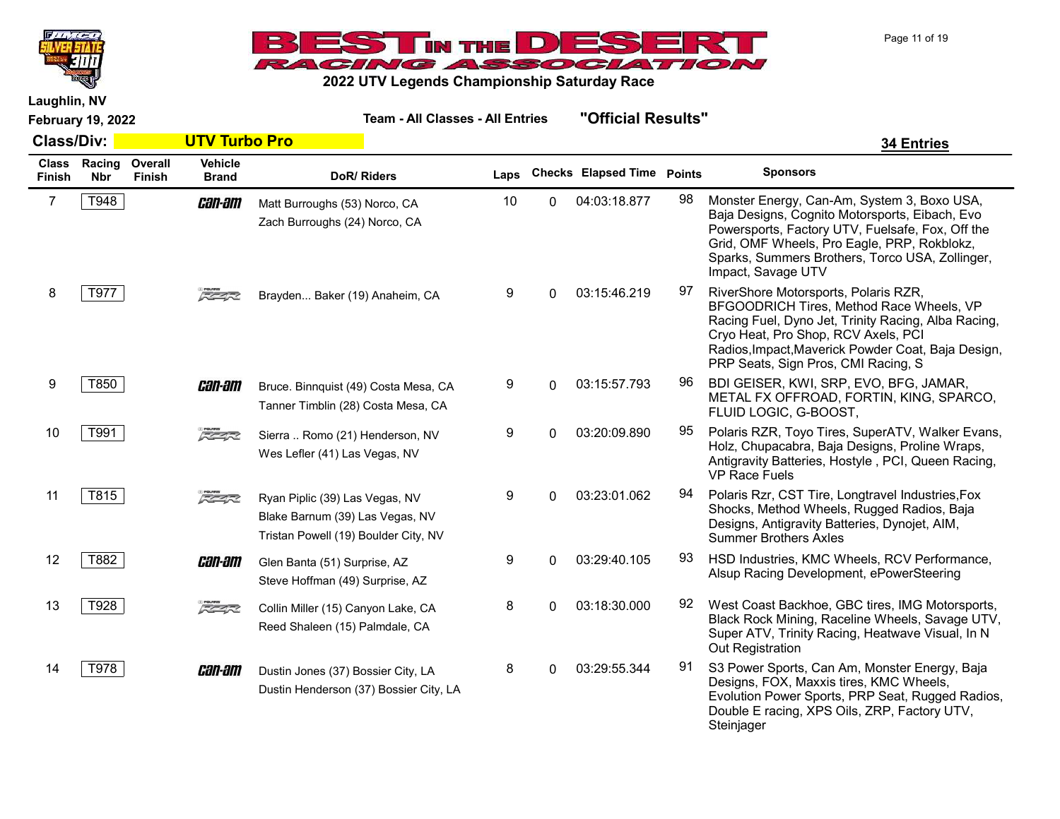



Laughlin, NV

| <b>Class/Div:</b> |                            |                          | <b>UTV Turbo Pro</b>           |                                                                                                           |      |          |                                   |    | <b>34 Entries</b>                                                                                                                                                                                                                                                           |  |
|-------------------|----------------------------|--------------------------|--------------------------------|-----------------------------------------------------------------------------------------------------------|------|----------|-----------------------------------|----|-----------------------------------------------------------------------------------------------------------------------------------------------------------------------------------------------------------------------------------------------------------------------------|--|
| Finish            | Class Racing<br><b>Nbr</b> | Overall<br><b>Finish</b> | <b>Vehicle</b><br><b>Brand</b> | DoR/Riders                                                                                                | Laps |          | <b>Checks Elapsed Time Points</b> |    | <b>Sponsors</b>                                                                                                                                                                                                                                                             |  |
| 7                 | T948                       |                          | <i>can-am</i>                  | Matt Burroughs (53) Norco, CA<br>Zach Burroughs (24) Norco, CA                                            | 10   | 0        | 04:03:18.877                      | 98 | Monster Energy, Can-Am, System 3, Boxo USA,<br>Baja Designs, Cognito Motorsports, Eibach, Evo<br>Powersports, Factory UTV, Fuelsafe, Fox, Off the<br>Grid, OMF Wheels, Pro Eagle, PRP, Rokblokz,<br>Sparks, Summers Brothers, Torco USA, Zollinger,<br>Impact, Savage UTV   |  |
| 8                 | T977                       |                          | スクイズ                           | Brayden Baker (19) Anaheim, CA                                                                            | 9    | $\Omega$ | 03:15:46.219                      | 97 | RiverShore Motorsports, Polaris RZR,<br>BFGOODRICH Tires, Method Race Wheels, VP<br>Racing Fuel, Dyno Jet, Trinity Racing, Alba Racing,<br>Cryo Heat, Pro Shop, RCV Axels, PCI<br>Radios, Impact, Maverick Powder Coat, Baja Design,<br>PRP Seats, Sign Pros, CMI Racing, S |  |
| 9                 | T850                       |                          | <i>can-am</i>                  | Bruce. Binnquist (49) Costa Mesa, CA<br>Tanner Timblin (28) Costa Mesa, CA                                | 9    | $\Omega$ | 03:15:57.793                      | 96 | BDI GEISER, KWI, SRP, EVO, BFG, JAMAR,<br>METAL FX OFFROAD, FORTIN, KING, SPARCO,<br>FLUID LOGIC, G-BOOST,                                                                                                                                                                  |  |
| 10                | T991                       |                          | $\sqrt{2}$                     | Sierra  Romo (21) Henderson, NV<br>Wes Lefler (41) Las Vegas, NV                                          | 9    | $\Omega$ | 03:20:09.890                      | 95 | Polaris RZR, Toyo Tires, SuperATV, Walker Evans,<br>Holz, Chupacabra, Baja Designs, Proline Wraps,<br>Antigravity Batteries, Hostyle, PCI, Queen Racing,<br><b>VP Race Fuels</b>                                                                                            |  |
| 11                | T815                       |                          | $5 - 7$                        | Ryan Piplic (39) Las Vegas, NV<br>Blake Barnum (39) Las Vegas, NV<br>Tristan Powell (19) Boulder City, NV | 9    | $\Omega$ | 03:23:01.062                      | 94 | Polaris Rzr, CST Tire, Longtravel Industries, Fox<br>Shocks, Method Wheels, Rugged Radios, Baja<br>Designs, Antigravity Batteries, Dynojet, AIM,<br><b>Summer Brothers Axles</b>                                                                                            |  |
| 12                | T882                       |                          | <i>can-am</i>                  | Glen Banta (51) Surprise, AZ<br>Steve Hoffman (49) Surprise, AZ                                           | 9    | $\Omega$ | 03:29:40.105                      | 93 | HSD Industries, KMC Wheels, RCV Performance,<br>Alsup Racing Development, ePowerSteering                                                                                                                                                                                    |  |
| 13                | T928                       |                          | $5 - 7$                        | Collin Miller (15) Canyon Lake, CA<br>Reed Shaleen (15) Palmdale, CA                                      | 8    | $\Omega$ | 03:18:30.000                      | 92 | West Coast Backhoe, GBC tires, IMG Motorsports,<br>Black Rock Mining, Raceline Wheels, Savage UTV,<br>Super ATV, Trinity Racing, Heatwave Visual, In N<br>Out Registration                                                                                                  |  |
| 14                | T978                       |                          | <i>can-am</i>                  | Dustin Jones (37) Bossier City, LA<br>Dustin Henderson (37) Bossier City, LA                              | 8    | $\Omega$ | 03:29:55.344                      | 91 | S3 Power Sports, Can Am, Monster Energy, Baja<br>Designs, FOX, Maxxis tires, KMC Wheels,<br>Evolution Power Sports, PRP Seat, Rugged Radios,<br>Double E racing, XPS Oils, ZRP, Factory UTV,<br>Steinjager                                                                  |  |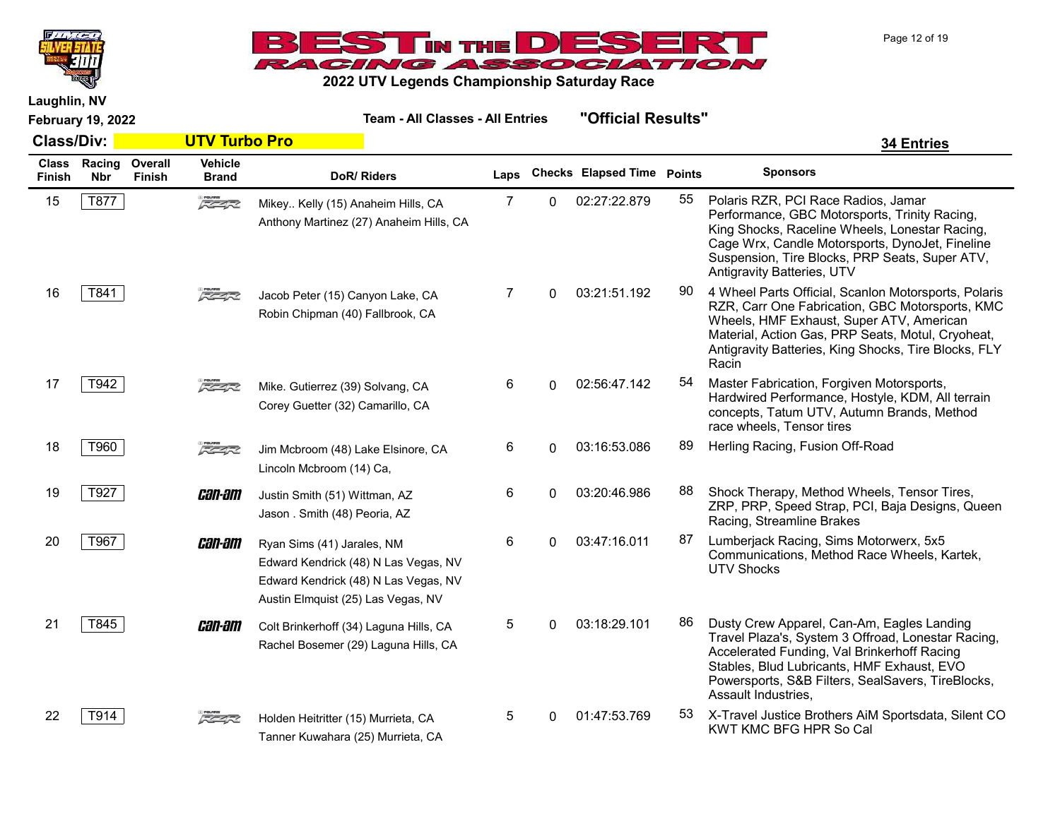



Laughlin, NV

February 19, 2022 Team - All Classes - All Entries "Official Results"

| <b>Class/Div:</b>      |                      |                   | <b>UTV Turbo Pro</b>           |                                                                                                                                                  |      |          |                                   |    | <b>34 Entries</b>                                                                                                                                                                                                                                                         |
|------------------------|----------------------|-------------------|--------------------------------|--------------------------------------------------------------------------------------------------------------------------------------------------|------|----------|-----------------------------------|----|---------------------------------------------------------------------------------------------------------------------------------------------------------------------------------------------------------------------------------------------------------------------------|
| <b>Class</b><br>Finish | Racing<br><b>Nbr</b> | Overall<br>Finish | <b>Vehicle</b><br><b>Brand</b> | DoR/Riders                                                                                                                                       | Laps |          | <b>Checks Elapsed Time Points</b> |    | <b>Sponsors</b>                                                                                                                                                                                                                                                           |
| 15                     | T877                 |                   | $\sqrt{2}$                     | Mikey Kelly (15) Anaheim Hills, CA<br>Anthony Martinez (27) Anaheim Hills, CA                                                                    | 7    | 0        | 02:27:22.879                      | 55 | Polaris RZR, PCI Race Radios, Jamar<br>Performance, GBC Motorsports, Trinity Racing,<br>King Shocks, Raceline Wheels, Lonestar Racing,<br>Cage Wrx, Candle Motorsports, DynoJet, Fineline<br>Suspension, Tire Blocks, PRP Seats, Super ATV,<br>Antigravity Batteries, UTV |
| 16                     | T841                 |                   | $7 - 4 - 2$                    | Jacob Peter (15) Canyon Lake, CA<br>Robin Chipman (40) Fallbrook, CA                                                                             | 7    | $\Omega$ | 03:21:51.192                      | 90 | 4 Wheel Parts Official, Scanlon Motorsports, Polaris<br>RZR, Carr One Fabrication, GBC Motorsports, KMC<br>Wheels, HMF Exhaust, Super ATV, American<br>Material, Action Gas, PRP Seats, Motul, Cryoheat,<br>Antigravity Batteries, King Shocks, Tire Blocks, FLY<br>Racin |
| 17                     | T942                 |                   | $5 - 4 - 2$                    | Mike. Gutierrez (39) Solvang, CA<br>Corey Guetter (32) Camarillo, CA                                                                             | 6    | 0        | 02:56:47.142                      | 54 | Master Fabrication, Forgiven Motorsports,<br>Hardwired Performance, Hostyle, KDM, All terrain<br>concepts, Tatum UTV, Autumn Brands, Method<br>race wheels, Tensor tires                                                                                                  |
| 18                     | T960                 |                   | $\sqrt{2}$                     | Jim Mcbroom (48) Lake Elsinore, CA<br>Lincoln Mcbroom (14) Ca,                                                                                   | 6    | 0        | 03:16:53.086                      | 89 | Herling Racing, Fusion Off-Road                                                                                                                                                                                                                                           |
| 19                     | T927                 |                   | <i>can-am</i>                  | Justin Smith (51) Wittman, AZ<br>Jason . Smith (48) Peoria, AZ                                                                                   | 6    | 0        | 03:20:46.986                      | 88 | Shock Therapy, Method Wheels, Tensor Tires,<br>ZRP, PRP, Speed Strap, PCI, Baja Designs, Queen<br>Racing, Streamline Brakes                                                                                                                                               |
| 20                     | T967                 |                   | <i>can-am</i>                  | Ryan Sims (41) Jarales, NM<br>Edward Kendrick (48) N Las Vegas, NV<br>Edward Kendrick (48) N Las Vegas, NV<br>Austin Elmquist (25) Las Vegas, NV | 6    | 0        | 03:47:16.011                      | 87 | Lumberjack Racing, Sims Motorwerx, 5x5<br>Communications, Method Race Wheels, Kartek,<br><b>UTV Shocks</b>                                                                                                                                                                |
| 21                     | T845                 |                   | <i>can-am</i>                  | Colt Brinkerhoff (34) Laguna Hills, CA<br>Rachel Bosemer (29) Laguna Hills, CA                                                                   | 5    | 0        | 03:18:29.101                      | 86 | Dusty Crew Apparel, Can-Am, Eagles Landing<br>Travel Plaza's, System 3 Offroad, Lonestar Racing,<br>Accelerated Funding, Val Brinkerhoff Racing<br>Stables, Blud Lubricants, HMF Exhaust, EVO<br>Powersports, S&B Filters, SealSavers, TireBlocks,<br>Assault Industries, |
| 22                     | T914                 |                   | $z = 1$                        | Holden Heitritter (15) Murrieta, CA<br>Tanner Kuwahara (25) Murrieta, CA                                                                         | 5    | 0        | 01:47:53.769                      | 53 | X-Travel Justice Brothers AiM Sportsdata, Silent CO<br>KWT KMC BFG HPR So Cal                                                                                                                                                                                             |

Page 12 of 19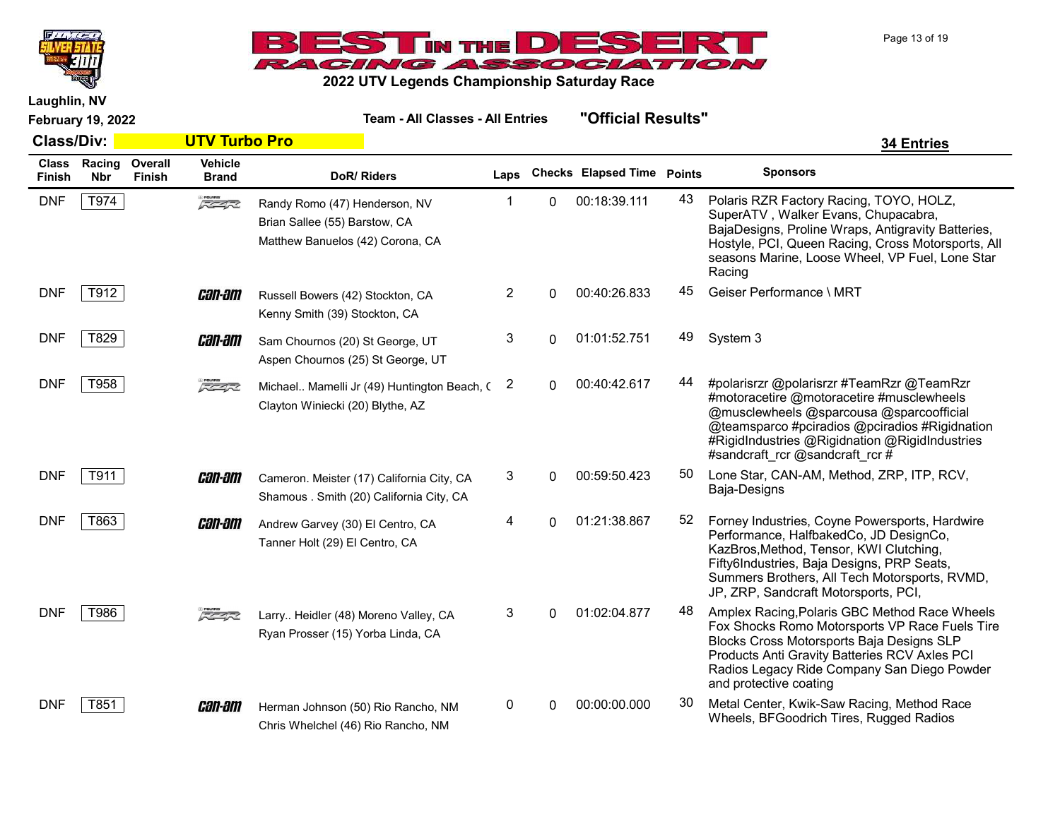



Laughlin, NV

| <b>Class/Div:</b>      |                      |                   | <b>UTV Turbo Pro</b>           |                                                                                                    |      |          |                                   |    | <b>34 Entries</b>                                                                                                                                                                                                                                                          |
|------------------------|----------------------|-------------------|--------------------------------|----------------------------------------------------------------------------------------------------|------|----------|-----------------------------------|----|----------------------------------------------------------------------------------------------------------------------------------------------------------------------------------------------------------------------------------------------------------------------------|
| <b>Class</b><br>Finish | Racing<br><b>Nbr</b> | Overall<br>Finish | <b>Vehicle</b><br><b>Brand</b> | DoR/Riders                                                                                         | Laps |          | <b>Checks Elapsed Time Points</b> |    | <b>Sponsors</b>                                                                                                                                                                                                                                                            |
| <b>DNF</b>             | T974                 |                   | $\sqrt{2}$                     | Randy Romo (47) Henderson, NV<br>Brian Sallee (55) Barstow, CA<br>Matthew Banuelos (42) Corona, CA | 1    | $\Omega$ | 00:18:39.111                      | 43 | Polaris RZR Factory Racing, TOYO, HOLZ,<br>SuperATV, Walker Evans, Chupacabra,<br>BajaDesigns, Proline Wraps, Antigravity Batteries,<br>Hostyle, PCI, Queen Racing, Cross Motorsports, All<br>seasons Marine, Loose Wheel, VP Fuel, Lone Star<br>Racing                    |
| <b>DNF</b>             | T912                 |                   | <i>can-am</i>                  | Russell Bowers (42) Stockton, CA<br>Kenny Smith (39) Stockton, CA                                  | 2    | 0        | 00:40:26.833                      | 45 | Geiser Performance \ MRT                                                                                                                                                                                                                                                   |
| <b>DNF</b>             | T829                 |                   | <i>can-am</i>                  | Sam Chournos (20) St George, UT<br>Aspen Chournos (25) St George, UT                               | 3    | 0        | 01:01:52.751                      | 49 | System 3                                                                                                                                                                                                                                                                   |
| <b>DNF</b>             | T958                 |                   | $\sqrt{2}$                     | Michael Mamelli Jr (49) Huntington Beach, (<br>Clayton Winiecki (20) Blythe, AZ                    | 2    | 0        | 00:40:42.617                      | 44 | #polarisrzr @polarisrzr #TeamRzr @TeamRzr<br>#motoracetire @motoracetire #musclewheels<br>@musclewheels @sparcousa @sparcoofficial<br>@teamsparco #pciradios @pciradios #Rigidnation<br>#RigidIndustries @Rigidnation @RigidIndustries<br>#sandcraft rcr@sandcraft rcr#    |
| <b>DNF</b>             | T911                 |                   | <i>can-am</i>                  | Cameron. Meister (17) California City, CA<br>Shamous . Smith (20) California City, CA              | 3    | $\Omega$ | 00:59:50.423                      | 50 | Lone Star, CAN-AM, Method, ZRP, ITP, RCV,<br>Baja-Designs                                                                                                                                                                                                                  |
| <b>DNF</b>             | T863                 |                   | <i>can-am</i>                  | Andrew Garvey (30) El Centro, CA<br>Tanner Holt (29) El Centro, CA                                 | 4    | $\Omega$ | 01:21:38.867                      | 52 | Forney Industries, Coyne Powersports, Hardwire<br>Performance, HalfbakedCo, JD DesignCo,<br>KazBros, Method, Tensor, KWI Clutching,<br>Fifty6Industries, Baja Designs, PRP Seats,<br>Summers Brothers, All Tech Motorsports, RVMD,<br>JP, ZRP, Sandcraft Motorsports, PCI, |
| <b>DNF</b>             | T986                 |                   | $\sqrt{2}$                     | Larry Heidler (48) Moreno Valley, CA<br>Ryan Prosser (15) Yorba Linda, CA                          | 3    | $\Omega$ | 01:02:04.877                      | 48 | Amplex Racing, Polaris GBC Method Race Wheels<br>Fox Shocks Romo Motorsports VP Race Fuels Tire<br>Blocks Cross Motorsports Baja Designs SLP<br>Products Anti Gravity Batteries RCV Axles PCI<br>Radios Legacy Ride Company San Diego Powder<br>and protective coating     |
| <b>DNF</b>             | T851                 |                   | <i>can-am</i>                  | Herman Johnson (50) Rio Rancho, NM<br>Chris Whelchel (46) Rio Rancho, NM                           | 0    | 0        | 00:00:00.000                      | 30 | Metal Center, Kwik-Saw Racing, Method Race<br>Wheels, BFGoodrich Tires, Rugged Radios                                                                                                                                                                                      |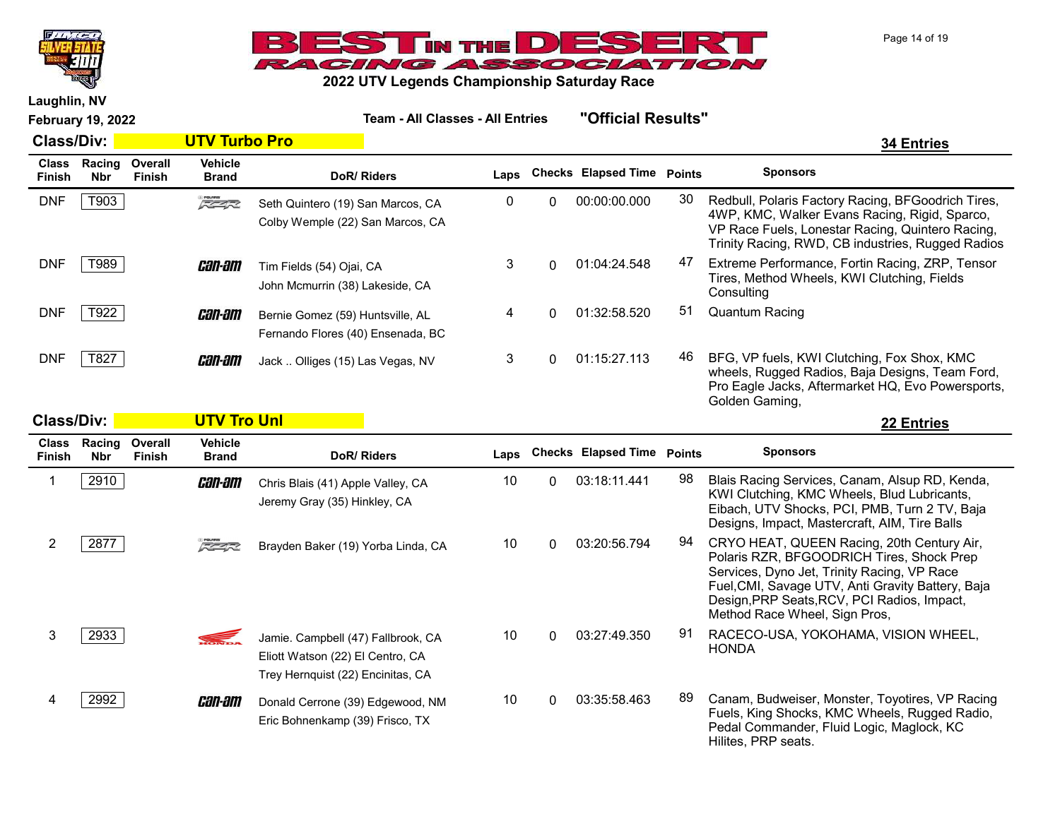



Laughlin, NV

February 19, 2022 Team - All Classes - All Entries "Official Results"

Class/Div: UTV Turbo Pro 34 Entries Class Racing Finish Nbr **Overall** Finish **Vehicle**<br>Brand DoR/ Riders **Laps** Checks Elapsed Time Points Sponsors DNF T903 Seth Quintero (19) San Marcos, CA 0 00:00:00.000 30 Redbull, Polaris Factory Racing, BFGoodrich Tires, 4WP, KMC, Walker Evans Racing, Rigid, Sparco, VP Race Fuels, Lonestar Racing, Quintero Racing, Trinity Racing, RWD, CB industries, Rugged Radios Seth Quintero (19) San Marcos, CA Colby Wemple (22) San Marcos, CA DNF T989 Extreme Performance, Fortin Racing, ZRP, Tensor Tires, Method Wheels, KWI Clutching, Fields **Consulting** Tim Fields (54) Ojai, CA John Mcmurrin (38) Lakeside, CA DNF  $T922$  **Can-am** Bernie Gomez (59) Huntsville, AL 4 0 01:32:58.520 51 Quantum Racing Fernando Flores (40) Ensenada, BC DNF  $\boxed{7827}$  **Can-am** Jack .. Olliges (15) Las Vegas, NV 3 0 01:15:27.113 46 BFG, VP fuels, KWI Clutching, Fox Shox, KMC wheels, Rugged Radios, Baja Designs, Team Ford, Pro Eagle Jacks, Aftermarket HQ, Evo Powersports, Golden Gaming, Jack .. Olliges (15) Las Vegas, NV Class/Div: UTV Tro Unl 22 Entries Class Racing Overall Nbr Finish Vehicle <sup>Unit</sup>ity Inc. 2012 **Deaps** Checks Elapsed Time Points Sponsors

| Finish | <b>Nbr</b> | Finish | <b>Brand</b>  | <b>DoR/Riders</b>                                                                                           | Laps |   | <b>Checks</b> Elapsed Time | Points | <b>Sponsors</b>                                                                                                                                                                                                                                                             |
|--------|------------|--------|---------------|-------------------------------------------------------------------------------------------------------------|------|---|----------------------------|--------|-----------------------------------------------------------------------------------------------------------------------------------------------------------------------------------------------------------------------------------------------------------------------------|
|        | 2910       |        | <i>can-am</i> | Chris Blais (41) Apple Valley, CA<br>Jeremy Gray (35) Hinkley, CA                                           | 10   | 0 | 03:18:11.441               | 98     | Blais Racing Services, Canam, Alsup RD, Kenda,<br>KWI Clutching, KMC Wheels, Blud Lubricants,<br>Eibach, UTV Shocks, PCI, PMB, Turn 2 TV, Baja<br>Designs, Impact, Mastercraft, AIM, Tire Balls                                                                             |
|        | 2877       |        | 反应的           | Brayden Baker (19) Yorba Linda, CA                                                                          | 10   | 0 | 03:20:56.794               | 94     | CRYO HEAT, QUEEN Racing, 20th Century Air,<br>Polaris RZR, BFGOODRICH Tires, Shock Prep<br>Services, Dyno Jet, Trinity Racing, VP Race<br>Fuel, CMI, Savage UTV, Anti Gravity Battery, Baja<br>Design, PRP Seats, RCV, PCI Radios, Impact,<br>Method Race Wheel, Sign Pros, |
|        | 2933       |        | <b>SEC</b>    | Jamie. Campbell (47) Fallbrook, CA<br>Eliott Watson (22) El Centro, CA<br>Trey Hernquist (22) Encinitas, CA | 10   |   | 03:27:49.350               | 91     | RACECO-USA, YOKOHAMA, VISION WHEEL,<br><b>HONDA</b>                                                                                                                                                                                                                         |
|        | 2992       |        | <i>can-am</i> | Donald Cerrone (39) Edgewood, NM<br>Eric Bohnenkamp (39) Frisco, TX                                         | 10   |   | 03:35:58.463               | 89     | Canam, Budweiser, Monster, Toyotires, VP Racing<br>Fuels, King Shocks, KMC Wheels, Rugged Radio,<br>Pedal Commander, Fluid Logic, Maglock, KC<br>Hilites, PRP seats.                                                                                                        |

Page 14 of 19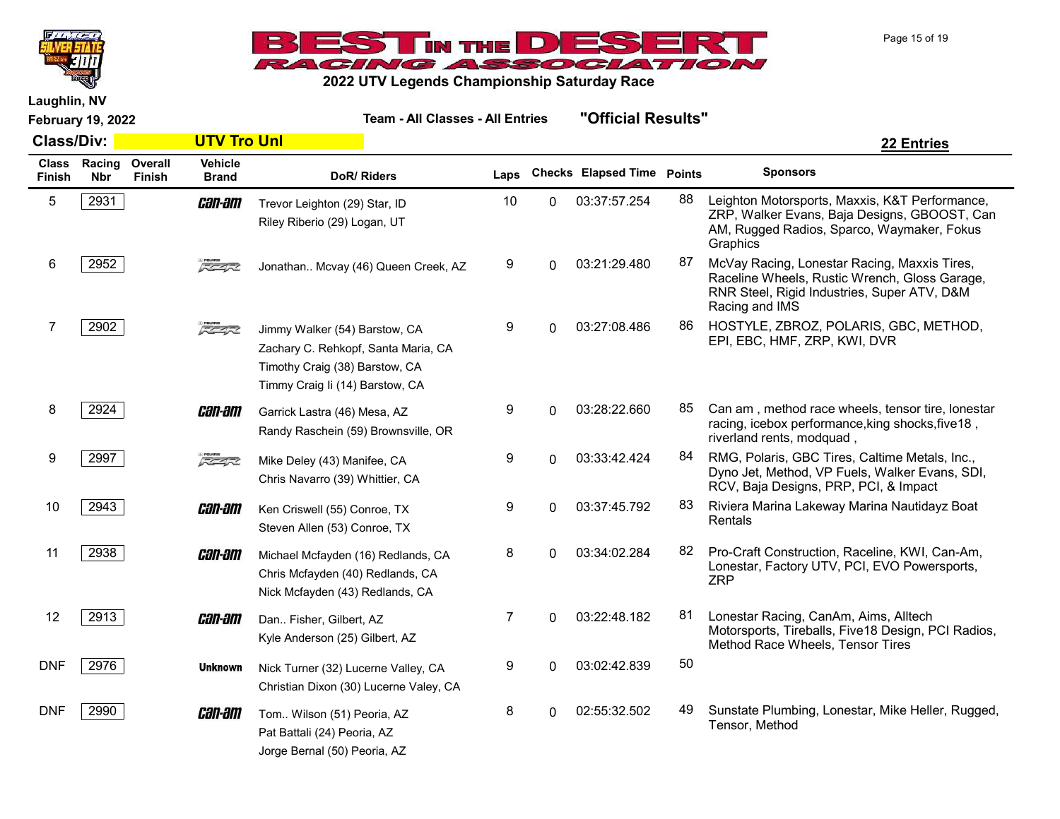



Laughlin, NV

February 19, 2022 Team - All Classes - All Entries "Official Results" Class/Div: UTV Tro Unl 22 Entries Class Racing Finish Nbr **Overall** Finish **Vehicle**<br>Brand DoR/ Riders **Laps** Checks Elapsed Time Points Sponsors 5 2931 **CHI-HII** Trevor Leighton (29) Star, ID 10 0 03:37:57.254 88 Leighton Motorsports, Maxxis, K&T Performance, ZRP, Walker Evans, Baja Designs, GBOOST, Can AM, Rugged Radios, Sparco, Waymaker, Fokus **Graphics** Trevor Leighton (29) Star, ID Riley Riberio (29) Logan, UT 6 2952 McVay Racing, Lonestar Racing, Maxxis Tires,  $\frac{3}{2}$  McVay Racing, Lonestar Racing, Maxxis Tires, Raceline Wheels, Rustic Wrench, Gloss Garage, RNR Steel, Rigid Industries, Super ATV, D&M Racing and IMS Jonathan.. Mcvay (46) Queen Creek, AZ 7 2902 HOSTYLE, ZBROZ, POLARIS, GBC, METHOD, EPI, EBC, HMF, ZRP, KWI, DVR Jimmy Walker (54) Barstow, CA Zachary C. Rehkopf, Santa Maria, CA Timothy Craig (38) Barstow, CA Timmy Craig Ii (14) Barstow, CA 8 2924 **Can am Can Can Age Can am Can am Can Age Can Age Can Age Can am** , method race wheels, tensor tire, lonestar racing, icebox performance,king shocks,five18 , riverland rents, modquad , Garrick Lastra (46) Mesa, AZ Randy Raschein (59) Brownsville, OR 9 2997 Mike Deley (43) Manifee CA 3 9 0 03:33:42.424 84 RMG, Polaris, GBC Tires, Caltime Metals, Inc., Dyno Jet, Method, VP Fuels, Walker Evans, SDI, RCV, Baja Designs, PRP, PCI, & Impact Mike Deley (43) Manifee, CA Chris Navarro (39) Whittier, CA 10 2943 **CHI-HI Ken** Criswell (55) Conroe. TX 9 0 03:37:45.792 <sup>83</sup> Riviera Marina Lakeway Marina Nautidayz Boat Rentals Ken Criswell (55) Conroe, TX Steven Allen (53) Conroe, TX

> Michael Mcfayden (16) Redlands, CA Chris Mcfayden (40) Redlands, CA Nick Mcfayden (43) Redlands, CA

Christian Dixon (30) Lucerne Valey, CA

Tom.. Wilson (51) Peoria, AZ Pat Battali (24) Peoria, AZ Jorge Bernal (50) Peoria, AZ

Dan.. Fisher, Gilbert, AZ Kyle Anderson (25) Gilbert, AZ

11 2938 **Can-am** Michael Mcfavden (16) Redlands. CA and the state of the construction, Raceline, KWI, Can-Am, Lonestar, Factory UTV, PCI, EVO Powersports, ZRP

12 2913 Lonestar Racing, CanAm, Aims, Alltech Motorsports, Tireballs, Five18 Design, PCI Radios, Method Race Wheels, Tensor Tires DNF 2976 **Unknown** Nick Turner (32) Lucerne Valley, CA 9 0 03:02:42.839 50

DNF 2990 **CHIM** Tom., Wilson (51) Peoria, AZ 6 0 02:55:32.502 49 Sunstate Plumbing, Lonestar, Mike Heller, Rugged, Tensor, Method

Page 15 of 19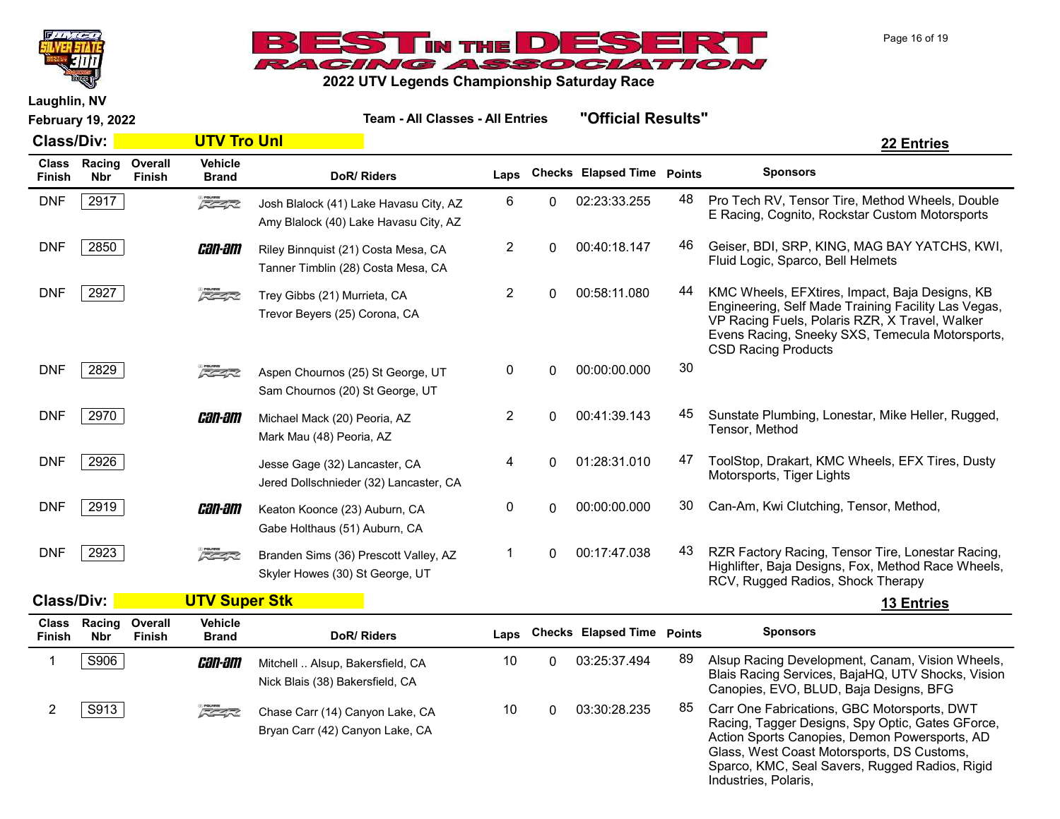



Laughlin, NV

February 19, 2022 Team - All Classes - All Entries "Official Results" Class/Div: UTV Tro Unl 22 Entries Class Racing Finish Nbr **Overall** Finish **Vehicle**<br>Brand DoR/ Riders **Laps** Checks Elapsed Time Points Sponsors DNF 2917 **Pro Tech RV, Tensor Tire, Method Wheels, Double** 2917 Pro Tech RV, Tensor Tire, Method Wheels, Double E Racing, Cognito, Rockstar Custom Motorsports Josh Blalock (41) Lake Havasu City, AZ Amy Blalock (40) Lake Havasu City, AZ DNF 2850 **GEIN-BITI** Riley Binnquist (21) Costa Mesa. CA  $200.40:18.147$  46 Geiser, BDI, SRP, KING, MAG BAY YATCHS, KWI, Fluid Logic, Sparco, Bell Helmets Riley Binnquist (21) Costa Mesa, CA Tanner Timblin (28) Costa Mesa, CA DNF 2927 KMC Wheels, EFXtires, Impact, Baja Designs, KB Engineering, Self Made Training Facility Las Vegas, VP Racing Fuels, Polaris RZR, X Travel, Walker Evens Racing, Sneeky SXS, Temecula Motorsports, CSD Racing Products Trey Gibbs (21) Murrieta, CA Trevor Beyers (25) Corona, CA DNF 2829 **2829** 2822 Aspen Chournos (25) St George, UT 0 0 00:00:00.000 30 Sam Chournos (20) St George, UT DNF 2970 **Can-am** Michael Mack (20) Peoria A7  $2 \t 0 \t 00:41:39.143 \t 45$  Sunstate Plumbing, Lonestar, Mike Heller, Rugged, Tensor, Method Michael Mack (20) Peoria, AZ Mark Mau (48) Peoria, AZ DNF 2926 Total Change (32) Lancaster CA and Change (32) ancaster CA and the Change of the Change of Canada and Change of Change of Change (32) ancaster CA and Change of Change of Change of Change of Change of Change of Cha Motorsports, Tiger Lights Jesse Gage (32) Lancaster, CA Jered Dollschnieder (32) Lancaster, CA DNF 2919 **Can-am** Keaton Koonce (23) Auburn, CA 0 00:00:00.000 30 Can-Am, Kwi Clutching, Tensor, Method, Gabe Holthaus (51) Auburn, CA DNF 2923 **Randen Sims (36) Prescott Vallev. AZ** 1 0 00:17:47.038 43 RZR Factory Racing, Tensor Tire, Lonestar Racing, Highlifter, Baja Designs, Fox, Method Race Wheels, RCV, Rugged Radios, Shock Therapy Branden Sims (36) Prescott Valley, AZ Skyler Howes (30) St George, UT

| <b>Class/Div:</b>      |               |                          | <b>UTV Super Stk</b>           |                                                                     |      |                                   |     | <b>13 Entries</b>                                                                                                                                                                                                                                                        |  |
|------------------------|---------------|--------------------------|--------------------------------|---------------------------------------------------------------------|------|-----------------------------------|-----|--------------------------------------------------------------------------------------------------------------------------------------------------------------------------------------------------------------------------------------------------------------------------|--|
| <b>Class</b><br>Finish | Racing<br>Nbr | Overall<br><b>Finish</b> | <b>Vehicle</b><br><b>Brand</b> | DoR/Riders                                                          | Laps | <b>Checks Elapsed Time Points</b> |     | <b>Sponsors</b>                                                                                                                                                                                                                                                          |  |
|                        | S906          |                          | <i>can-am</i>                  | Mitchell  Alsup, Bakersfield, CA<br>Nick Blais (38) Bakersfield, CA | 10   | 03:25:37.494                      | 89  | Alsup Racing Development, Canam, Vision Wheels,<br>Blais Racing Services, BajaHQ, UTV Shocks, Vision<br>Canopies, EVO, BLUD, Baja Designs, BFG                                                                                                                           |  |
|                        | S913          |                          | 医学家                            | Chase Carr (14) Canyon Lake, CA<br>Bryan Carr (42) Canyon Lake, CA  | 10   | 03:30:28.235                      | 85. | Carr One Fabrications, GBC Motorsports, DWT<br>Racing, Tagger Designs, Spy Optic, Gates GForce,<br>Action Sports Canopies, Demon Powersports, AD<br>Glass, West Coast Motorsports, DS Customs,<br>Sparco, KMC, Seal Savers, Rugged Radios, Rigid<br>Industries, Polaris, |  |

Page 16 of 19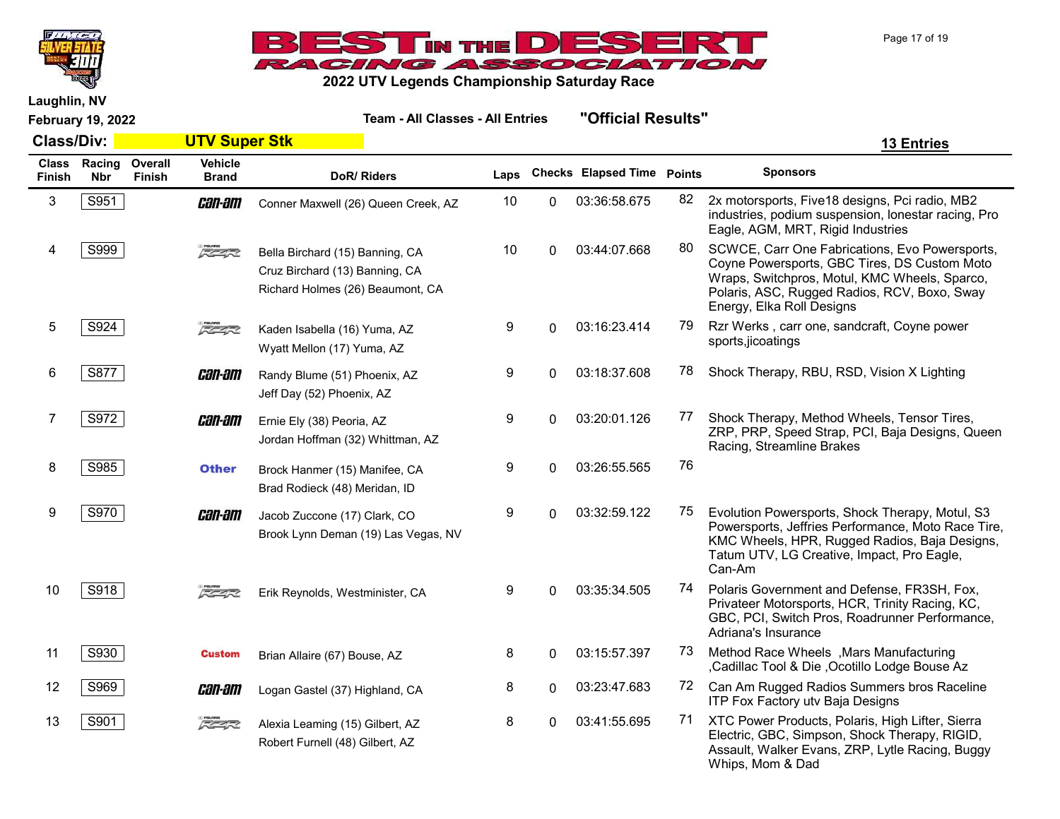



Laughlin, NV

February 19, 2022 Team - All Classes - All Entries "Official Results"

| <b>Class/Div:</b>      |                      |                          | <b>UTV Super Stk</b>           |                                                                                                       |      |    |                            |               | <b>13 Entries</b>                                                                                                                                                                                                            |
|------------------------|----------------------|--------------------------|--------------------------------|-------------------------------------------------------------------------------------------------------|------|----|----------------------------|---------------|------------------------------------------------------------------------------------------------------------------------------------------------------------------------------------------------------------------------------|
| <b>Class</b><br>Finish | Racing<br><b>Nbr</b> | Overall<br><b>Finish</b> | <b>Vehicle</b><br><b>Brand</b> | DoR/Riders                                                                                            | Laps |    | <b>Checks Elapsed Time</b> | <b>Points</b> | <b>Sponsors</b>                                                                                                                                                                                                              |
| 3                      | S951                 |                          | <i>can-am</i>                  | Conner Maxwell (26) Queen Creek, AZ                                                                   | 10   | 0  | 03:36:58.675               | 82            | 2x motorsports, Five18 designs, Pci radio, MB2<br>industries, podium suspension, lonestar racing, Pro<br>Eagle, AGM, MRT, Rigid Industries                                                                                   |
|                        | S999                 |                          | $\sqrt{2}$                     | Bella Birchard (15) Banning, CA<br>Cruz Birchard (13) Banning, CA<br>Richard Holmes (26) Beaumont, CA | 10   | 0  | 03:44:07.668               | 80            | SCWCE, Carr One Fabrications, Evo Powersports,<br>Coyne Powersports, GBC Tires, DS Custom Moto<br>Wraps, Switchpros, Motul, KMC Wheels, Sparco,<br>Polaris, ASC, Rugged Radios, RCV, Boxo, Sway<br>Energy, Elka Roll Designs |
| 5                      | S924                 |                          | $\sqrt{2}$                     | Kaden Isabella (16) Yuma, AZ<br>Wyatt Mellon (17) Yuma, AZ                                            | 9    | 0  | 03:16:23.414               | 79            | Rzr Werks, carr one, sandcraft, Coyne power<br>sports, jicoatings                                                                                                                                                            |
| 6                      | S877                 |                          | <i>can-am</i>                  | Randy Blume (51) Phoenix, AZ<br>Jeff Day (52) Phoenix, AZ                                             | 9    | 0  | 03:18:37.608               | 78            | Shock Therapy, RBU, RSD, Vision X Lighting                                                                                                                                                                                   |
| 7                      | S972                 |                          | <i>can-am</i>                  | Ernie Ely (38) Peoria, AZ<br>Jordan Hoffman (32) Whittman, AZ                                         | 9    | 0  | 03:20:01.126               | 77            | Shock Therapy, Method Wheels, Tensor Tires,<br>ZRP, PRP, Speed Strap, PCI, Baja Designs, Queen<br>Racing, Streamline Brakes                                                                                                  |
| 8                      | S985                 |                          | <b>Other</b>                   | Brock Hanmer (15) Manifee, CA<br>Brad Rodieck (48) Meridan, ID                                        | 9    | 0  | 03:26:55.565               | 76            |                                                                                                                                                                                                                              |
| 9                      | S970                 |                          | <i>can-am</i>                  | Jacob Zuccone (17) Clark, CO<br>Brook Lynn Deman (19) Las Vegas, NV                                   | 9    | 0  | 03:32:59.122               | 75            | Evolution Powersports, Shock Therapy, Motul, S3<br>Powersports, Jeffries Performance, Moto Race Tire,<br>KMC Wheels, HPR, Rugged Radios, Baja Designs,<br>Tatum UTV, LG Creative, Impact, Pro Eagle,<br>Can-Am               |
| 10                     | S918                 |                          | $\sqrt{2}$                     | Erik Reynolds, Westminister, CA                                                                       | 9    | 0  | 03:35:34.505               | 74            | Polaris Government and Defense, FR3SH, Fox,<br>Privateer Motorsports, HCR, Trinity Racing, KC,<br>GBC, PCI, Switch Pros, Roadrunner Performance,<br>Adriana's Insurance                                                      |
| 11                     | S930                 |                          | <b>Custom</b>                  | Brian Allaire (67) Bouse, AZ                                                                          | 8    | 0  | 03:15:57.397               | 73.           | Method Race Wheels , Mars Manufacturing<br>,Cadillac Tool & Die, Ocotillo Lodge Bouse Az                                                                                                                                     |
| 12                     | S969                 |                          | <i>can-am</i>                  | Logan Gastel (37) Highland, CA                                                                        | 8    | 0  | 03:23:47.683               | 72            | Can Am Rugged Radios Summers bros Raceline<br>ITP Fox Factory utv Baja Designs                                                                                                                                               |
| 13                     | S901                 |                          | $5 - 4 - 2$                    | Alexia Leaming (15) Gilbert, AZ<br>Robert Furnell (48) Gilbert, AZ                                    | 8    | O. | 03:41:55.695               | 71            | XTC Power Products, Polaris, High Lifter, Sierra<br>Electric, GBC, Simpson, Shock Therapy, RIGID,<br>Appoult Walker Evans ZDD Lytle Beging Buggy                                                                             |

Assault, Walker Evans, ZRP, Lytle Racing, Buggy

Whips, Mom & Dad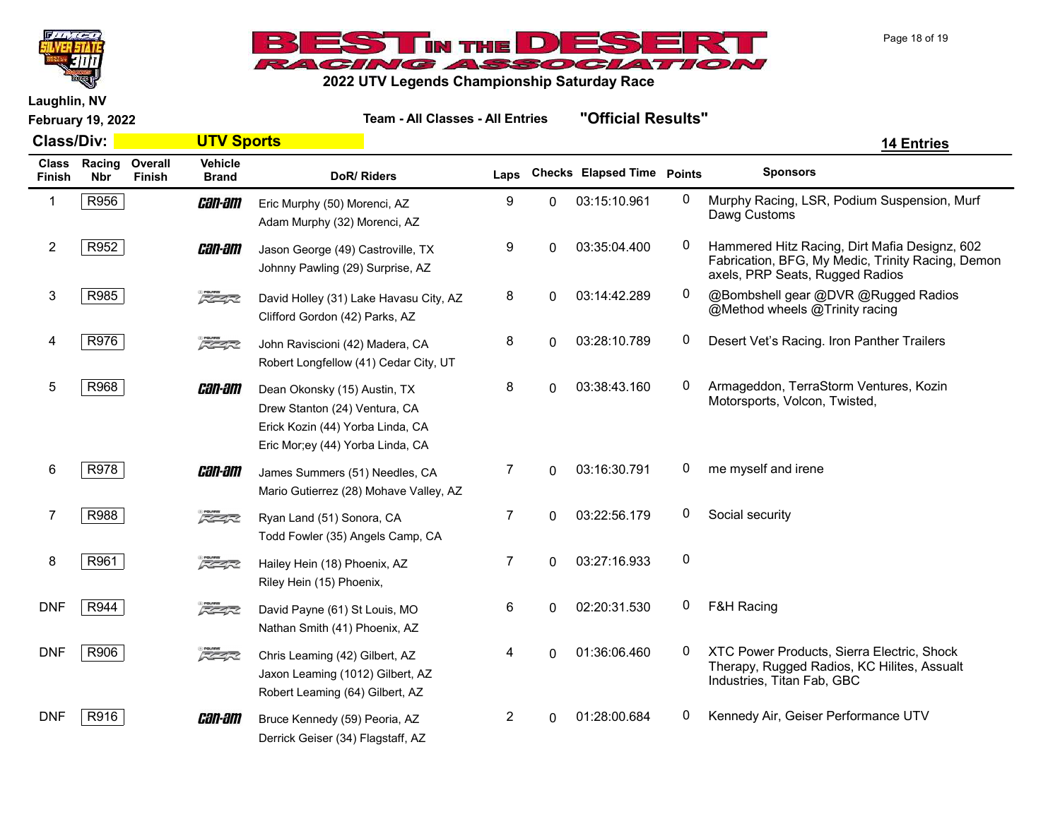



Laughlin, NV

| <b>Class/Div:</b>      |                      |                   | <b>UTV Sports</b>              |                                                                                                                                       |                |          |                                   |              | <b>14 Entries</b>                                                                                                                     |
|------------------------|----------------------|-------------------|--------------------------------|---------------------------------------------------------------------------------------------------------------------------------------|----------------|----------|-----------------------------------|--------------|---------------------------------------------------------------------------------------------------------------------------------------|
| <b>Class</b><br>Finish | Racing<br><b>Nbr</b> | Overall<br>Finish | <b>Vehicle</b><br><b>Brand</b> | DoR/Riders                                                                                                                            | Laps           |          | <b>Checks Elapsed Time Points</b> |              | <b>Sponsors</b>                                                                                                                       |
| -1                     | R956                 |                   | <i>can-am</i>                  | Eric Murphy (50) Morenci, AZ<br>Adam Murphy (32) Morenci, AZ                                                                          | 9              | 0        | 03:15:10.961                      | 0            | Murphy Racing, LSR, Podium Suspension, Murf<br>Dawg Customs                                                                           |
| $\overline{c}$         | R952                 |                   | <i>can-am</i>                  | Jason George (49) Castroville, TX<br>Johnny Pawling (29) Surprise, AZ                                                                 | 9              | 0        | 03:35:04.400                      | 0            | Hammered Hitz Racing, Dirt Mafia Designz, 602<br>Fabrication, BFG, My Medic, Trinity Racing, Demon<br>axels, PRP Seats, Rugged Radios |
| 3                      | R985                 |                   | $\sqrt{2}$                     | David Holley (31) Lake Havasu City, AZ<br>Clifford Gordon (42) Parks, AZ                                                              | 8              | 0        | 03:14:42.289                      | $\mathbf{0}$ | @Bombshell gear @DVR @Rugged Radios<br>@Method wheels @Trinity racing                                                                 |
| 4                      | R976                 |                   | $\sqrt{2}$                     | John Raviscioni (42) Madera, CA<br>Robert Longfellow (41) Cedar City, UT                                                              | 8              | $\Omega$ | 03:28:10.789                      | 0            | Desert Vet's Racing. Iron Panther Trailers                                                                                            |
| 5                      | R968                 |                   | <i>can-am</i>                  | Dean Okonsky (15) Austin, TX<br>Drew Stanton (24) Ventura, CA<br>Erick Kozin (44) Yorba Linda, CA<br>Eric Mor;ey (44) Yorba Linda, CA | 8              | 0        | 03:38:43.160                      | 0            | Armageddon, TerraStorm Ventures, Kozin<br>Motorsports, Volcon, Twisted,                                                               |
| 6                      | R978                 |                   | <i>can-am</i>                  | James Summers (51) Needles, CA<br>Mario Gutierrez (28) Mohave Valley, AZ                                                              | 7              | $\Omega$ | 03:16:30.791                      | 0            | me myself and irene                                                                                                                   |
| 7                      | R988                 |                   | $\sqrt{2}$                     | Ryan Land (51) Sonora, CA<br>Todd Fowler (35) Angels Camp, CA                                                                         | $\overline{7}$ | $\Omega$ | 03:22:56.179                      | 0            | Social security                                                                                                                       |
| 8                      | R961                 |                   | $\sqrt{2}$                     | Hailey Hein (18) Phoenix, AZ<br>Riley Hein (15) Phoenix,                                                                              | 7              | 0        | 03:27:16.933                      | 0            |                                                                                                                                       |
| <b>DNF</b>             | R944                 |                   | $5 - 7$                        | David Payne (61) St Louis, MO<br>Nathan Smith (41) Phoenix, AZ                                                                        | 6              | 0        | 02:20:31.530                      | 0            | <b>F&amp;H Racing</b>                                                                                                                 |
| <b>DNF</b>             | R906                 |                   | $\sqrt{2}$                     | Chris Leaming (42) Gilbert, AZ<br>Jaxon Leaming (1012) Gilbert, AZ<br>Robert Leaming (64) Gilbert, AZ                                 | 4              | $\Omega$ | 01:36:06.460                      | 0            | XTC Power Products, Sierra Electric, Shock<br>Therapy, Rugged Radios, KC Hilites, Assualt<br>Industries, Titan Fab, GBC               |
| <b>DNF</b>             | R916                 |                   | <i>can-am</i>                  | Bruce Kennedy (59) Peoria, AZ<br>Derrick Geiser (34) Flagstaff, AZ                                                                    | 2              | 0        | 01:28:00.684                      | 0            | Kennedy Air, Geiser Performance UTV                                                                                                   |